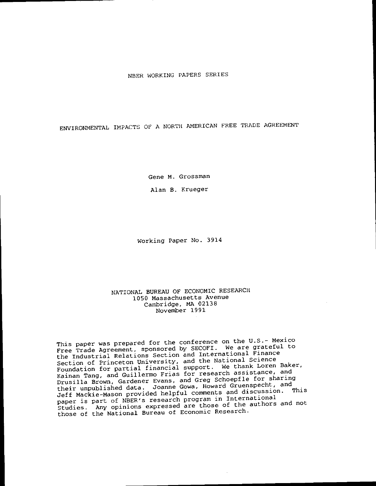#### NBER WORKING PAPERS SERIES

ENVIRONMENTAL IMPACTS OF A NORTH AMERICAN FREE TRADE AGREEMENT

Gene M. Grossman

Alan B. Krueger

Working Paper No. 3914

#### NATIONAL BUREAU OF ECONOMIC RESEARCH 1050 Massachusetts Avenue Cambridge, MA 02138 November 1991

This paper was prepared for the conference on the U.S.- Mexico Free Trade Agreement, sponsored by SECOFI. We are grateful to the Industrial Relations Section and International Finance Section of Princeton University, and the National Science Section of Finceton onlistedly, when we thank Loren Baker, Kainan Tang, and Guillermo Frias for research assistance, and Drusilla Brown, Gardener Evans, and Greg Schoepfle for sharing their unpublished data. Joanne Gowa. Howard Gruenspecht. and Jeff Mackie-Mason provided helpful comments and discussion. This paper is part of NBER's research program in International Studies. Any opinions expressed are those of the authors and not those of the National Bureau of Economic Research.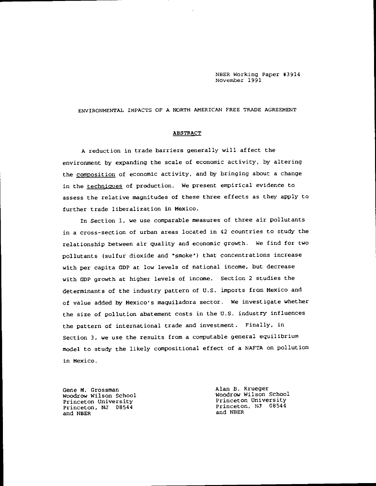NEER Working Paper #3914 November 1991

#### ENVIRONMENTAL IMPACTS OF A NORTH AMERICAN FREE TRADE AGREEMENT

#### ABSTRACT

A reduction in trade barriers generally will affect the environment by expanding the scale of economic activity, by altering the composition of economic activity, and by bringing about a change in the techniques of production. We present empirical evidence to assess the relative magnitudes of these three effects as they apply to further trade liberalization in Mexico.

In Section 1. we use comparable measures of three air pollutants in a cross-section of urban areas located in 42 countries to study the relationship between air quality and economic growth. We find for two pollutants (sulfur dioxide and smoke") that concentrations increase with per capita GDP at low levels of national income, but decrease with GDP growth at higher levels of income. Section 2 studies the determinants of the industry pattern of U.S. imports from Mexico and of value added by Mexico's maquiladora sector. We investigate whether the size of pollution abatement costs in the U.S. industry influences the pattern of international trade and investment. Finally, in Section 3, we use the results from a computable general equilibrium model to study the likely compositional effect of a NAFTA on pollution in Mexico.

Gene M. Grossman Alan B. Krueger<br>Woodrow Wilson School Alan B. Krueger Princeton University<br>Princeton, NJ 08544 and NBER

Woodrow Wilson School<br>Princeton University Princeton, NJ 08544<br>and NBER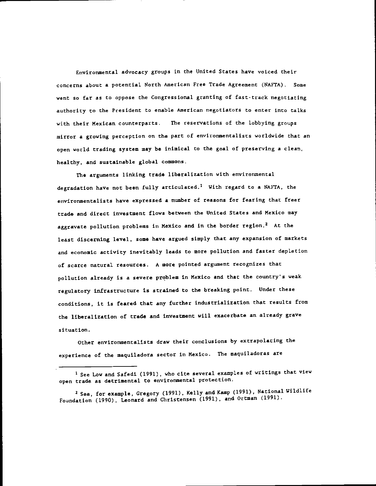Environmental advocacy groups In the United States have voiced their concerns about a potential North American Free Trade Agreement (NAFTA). Some went so far as to oppose the Congressional. granting of fast-track negotiating authority to the President to enable American negotiators to enter Into talks with their Mexican counterparts. The reservations of the lobbying groups mirror a growing perception on the part of environmentalists worldwide that an open world trading system may be inimical to the goal of preserving a clean, healthy, and sustainable global commons.

The arguments linking trade liberalization with environmental degradation have not been fully articulated.<sup>1</sup> With regard to a NAFTA, the environmentalists have expressed a number of reasons for fearing that freer trade and direct investment flows between the United States and Mexico may aggravate pollution problems in Mexico and in the border region.2 At the least discerning level, some have argued simply that any expansion of markets and economic activity inevitably leads to more pollution and faster depletion of scarce natural resources. A more pointed argument recognizes that pollution already is a severe problem in Mexico and that the country's weak regulatory infrastructure is strained to the breaking point. Under these conditions, it is feared that any further industrialization that results from the liberalization of trade and investment will exacerbate an already grave situation.

Other environmentalists draw their conclusions by extrapolating the experience of the maquiladora sector in Mexico. The maquiladoras are

<sup>&</sup>lt;sup>1</sup> See Low and Safedi (1991), who cite several examples of writings that view open trade as detrimental to environmental protection.

<sup>2</sup> See, for example, Gregory (1991), Kelly and Kemp (1991). National Wildlife Foundation (1990), Leonard and Christensen (1991), and Ortman (1991).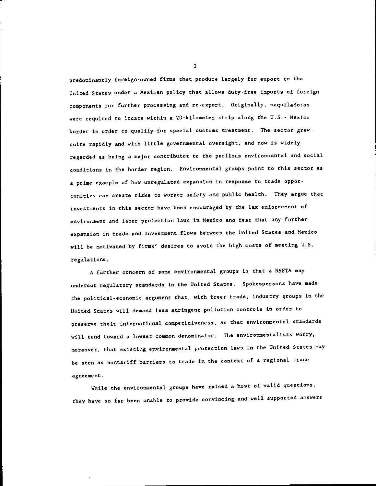predominantly foreign-owned firms that produce largely for export to the United States under a Mexican policy that allows duty-free imports of foreign components for further processing and re-export. Originally, maquiladoras were required to locate within a 20-kilometer strip along the U.S. - Mexico border in order to qualify for special customs treatment. The sector grew quite rapidly and with little governmental oversight, and now is widely regarded as being a major contributor to the perilous environmental and social conditions in the border region. Environmental groups point to this sector as a prime example of how unregulated expansion in response to trade opportunities can create risks to worker safety and public health. They argue that investments in this sector have been encouraged by the lax enforcement of environment and labor protection laws in Mexico and fear that any further expansion in trade and investment flows between the United States and Mexico will be motivated by firms' desires to avoid the high costs of meeting U.S. regulations.

A further concern of some environmental groups is that a NAFEA may undercut regulatory standards in the United States. Spokespersons have made the political-economic argument that, with freer trade, industry groups in the United States will demand less stringent pollution controls in order to preserve their international competitiveness, so that environmental standards will tend toward a lowest common denominator. The environmentalists worry, moreover, that existing environmental protection laws in the United States may be seen as nontariff barriers to trade in the context of a regional trade agreement.

While the environmental groups have raised a host of valid questions, they have so far been unable to provide convincing and well supported answers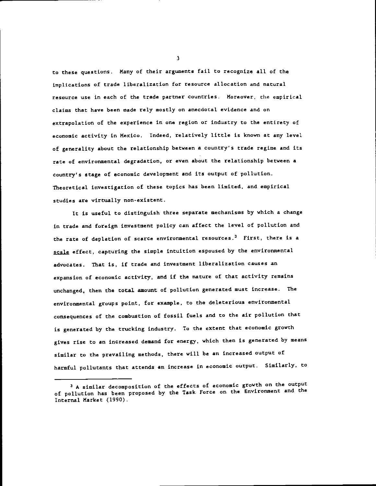to these questions. Many of their arguments fail to recognize all of the implications of trade liberalization for resource allocation and natural resource use in each of the trade partner countries. Moreover, die empirical claims that have been made rely mostly on anecdotal evidence and on extrapolation of the experience in one region or industry to the entirety of economic activity in Mexico. Indeed, relatively little is known at any level of generality about the relationship between a country's trade regime and its rate of environmental degradatton. or even about the relationship between a country's stage of economic development and its output of pollution. Theoretical investigation of these topics has been limited, and empirical studies are virtually non-existent.

It is useful to distinguish three separate mechanisms by which a change in trade and foreign investment policy can affect the level of pollution and the rate of depletion of scarce environmental resources.<sup>3</sup> First, there is a scale effect, capturing the simple intuition espoused by the environmental advocates. That is, if trade and investment liberalization causes an expansion of economic activity, and if the nature of that activity remains unchanged, then the total amount of pollution generated must increase. The environmental groups point, for example, to the deleterious environmental consequences of the combustion of fossil fuels and to the air pollution that is generated by the trucking industry. To the extent that economic growth gives rise to an increased demand for energy, which then is generated by means similar to the prevailing methods, there will be an increased output of harmful pollutants that attends an increase in economic output. Similarly, to

<sup>&</sup>lt;sup>3</sup> A similar decomposition of the effects of economic growth on the output of pollution has been proposed by the Task Force on the Environment and the Internal Market (1990).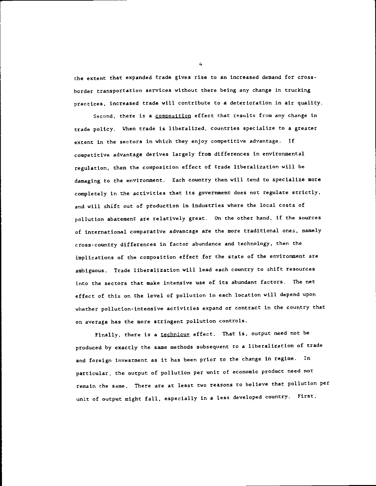the extent that expanded trade gives rise to an increased demand for crossborder transportation services without there being any change in trucking practices, increased trade will contribute to a deterioration in air quality.

Second, there is a composition effect that results from any change in trade policy. When trade is liberalized, countries specialize to a greater extent in the sectors in which they enjoy competitive advantage. If competitive advantage derives largely from differences in environmental regulation, then the composition effect of trade liberalization will be damaging to the environment. Each country then will tend to specialize more completely in the activities that its government does not regulate strictly. and will shift out of production in industries where the local costs of pollution abatement are relatively great. On the other hand, if the sources of international comparative advantage are the more traditional ones, namely cross-country differences in factor abundance and technology, then the implications of the composition effect for the state of the environment are ambiguous. Trade liberalization will lead each country to shift resources into the sectors that make intensive use of its abundant factors, The net effect of this on the level of pollution in each location will depend upon whether pollution-intensive activities expand or contract in the country that on average has the more stringent pollution controls.

Finally, there is a technique effect. That is, output need not be produced by exactly the same methods subsequent to a liberalization of trade and foreign investment as it has been prior to the change in regime. In particular, the output of pollution per unit of economic product need not remain the same. There are at least two reasons to believe that pollution per unit of output might fall, especially in a less developed country. First,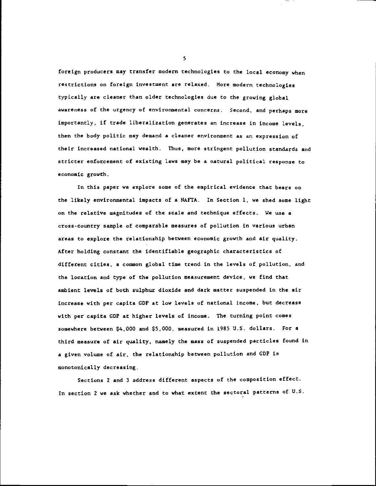foreign producers nay transfer modern technologies to the local economy when restrictions on foreign investment are relaxed. More modern technologies typically are cleaner than older technologies due to the growing global awareness of the urgency of environmental concerns. Second, and perhaps more importantly, if trade liberalization generates an increase in income levels, then the body politic may demand a cleaner environment as an expression of their increased national wealth. Thus, more stringent pollution standards and stricter enfoccement of existing laws may be a natural political response to economic growth.

In this paper we explore some of the empirical evidence that bears on the likely environmental impacts of a NAflA. In Section 1, we shed some light on the relative magnitudes of the scale and technique effects. We use a cross-country sample of comparable measures of pollution in various urban areas to explore the relationship between economic growth and air quality. After holding constant the identifiable geographic characteristics of different cities, a common global time trend in the levels of pollution, and the location and type of the pollution measurement device, we find that ambient levels of both sulphur dioxide and dark matter suspended in the air increase with per capita GD? at low levels of national income, but decrease with per capita GD? at higher levels of income. The turning point comes somewhere between \$4,000 and \$5,000, measured in 1985 U.S. dollars. For a third measure of air quality, namely the mass of suspended particles found in <sup>a</sup> given volune of air, the relationship between pollution and GD? is monotonically decreasing.

Sections 2 and 3 address different aspects of the composition effect. In section 2 we ask whether and to what extent the sectoral patterns of U.S.

S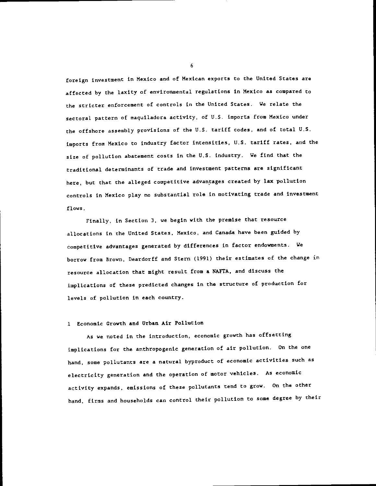foreign investment in Mexico and of Mexican exports to the United States are affected by the laxity of environmental regulations in Mexico as compared to the stricter enforcement of controls in the United States. We relate the sectoral pattern of maquiladora activity, of U.S. imports from Mexico under the offshore assembly provisions of the U.S. tariff codes, and of total U.S. imports from Mexico to industry factor intensities, U.S. tariff rates, and the size of pollution abatement costs in the U.S. industry. We find that the traditional determinants of trade and investment patterns are significant here, but that the alleged competitive advantages created by lax pollution controls in Mexico play no substantial role in motivating trade and investment flows.

Finally, in Section 3, we begin with the premise that resource allocations in the United States, Mexico, and Canada have been guided by competitive advantages generated by differences in factor endowments. We borrow from Brown, Deardorff and Stern (1991) their estimates of the change in resource allocation that might result from a NAFTA, and discuss the implications of these predicted changes in the structure of production for levels of pollution in each country.

#### 1 Economic Growth and Urban Air Pollution

As we noted in the introduction, economic growth has offsetting implications for the anthropogenic generation of air pollution. On the one hand, some pollutants are & natural byproduct of economic activities such as electricity generation and the operation of motor vehicles. As economic activity expands, emissions of these pollutants tend to grow. On the other hand, firms and households can control their pollution to some degree by their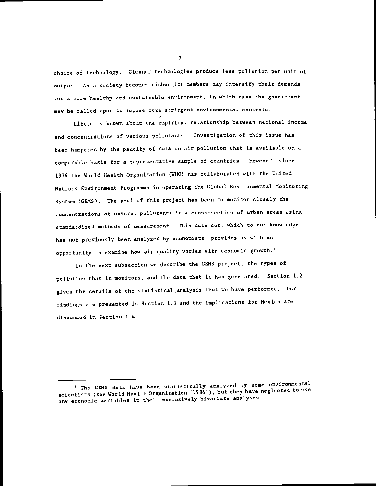choice of technology. Cleaner technologies produce less pollution per unit of output. As a society becomes richer its members may intensify their demands for a more healthy and sustainable environment, in which case the government may be called upon to impose more stringent environmental controls,

Little is known about the empirical relationship between national income and concentrations of various poLlutants. Investigation of this issue has been hampered by the paucity of data on air pollution that is available on a comparable basis for a representative sample of countries. However, since 1976 the World Health Organization (WHO) has collaborated with the United Nations Environment Programme in operating the Global Environmental Monitoring System (GEMS). The goal of this project has been to monitor closely the concentrations of several pollutants in a cross-section of urban areas using standardized methods of measurement. This data set, which to our knowledge has not previously been analyzed by economists, provides us with an opportunity to examine how air quality varies with economic growth.4

In the next subsection we describe the GEMS project, the types of pollution that it monitors, and the data that it has generated. Section 1.2 gives the details of the statistical analysis that we have performed. Our findings are presented in Section 1.3 and the implications for Mexico are discussed in Section 1,4.

<sup>\*</sup> The GEMS data have been statistically analyzed by some environmental scientists (see World Health Organization (1984]), but they have neglected to use any economic variables in their exclusively bivariate analyses.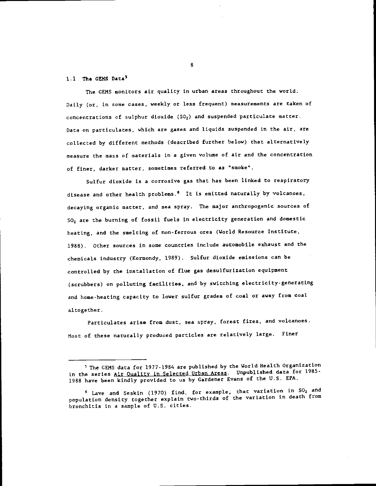#### 1.1 The GEMS Data<sup>3</sup>

The GEMS monitors air quality in urban areas throughout the world. Daily (or, in some cases, weekly or less frequent) measurements are taken of concentrations of sulphur dioxide  $(SO<sub>2</sub>)$  and suspended particulate matter. Data on particulates, which are gases and liquids suspended in the air, are collected by different methods (described further below) that alternatively measure the mass of materials in a given volume of air and the concentration of finer, darker matter, sometimes referred to as "smoke".

Sulfur dioxide is a corrosive gas that has been linked to respiratory disease and other health problems.<sup>6</sup> It is emitted naturally by volcanoes, decaying organic matter, and sea spray. The major anthropogenic sources of  $SO<sub>2</sub>$  are the burning of fossil fuels in electricity generation and domestic heating, and the smelting of non-ferrous ores (World Resource Institute, 1988). other sources in some countries include automobile exhaust and the chemicals industry (Kormondy, 1989). Sulfur dioxide emissions can be controlled by the installation of flue gas desulfurization equipment (scrubbers) on polluting facilities, and by switching electricity-generating and home-heating capacity to lower sulfur grades of coal or away from coal altogether.

Particulates arise from dust, sea spray, forest fires, and volcanoes. Most of these naturally produced particles are relatively large. Finer

The GEMS data for 1977.1984 are published by the World Health Organization in the series Air Quality in Selected Urban Areas. Unpublished data for 1985-1988 have been kindly provided to us by Gardener Evans of the U.S. EPA.

 $6$  Lave and Seskin (1970) find, for example, that variation in  $SO_2$  and population density together explain two-thirds of the variation in death from bronchitis in a sample of U.S. cities-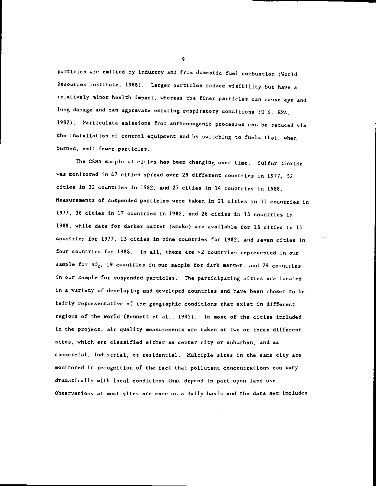particles are emitted by industry and from domestic fuel combustion (World Resources Institute, 1988). Larger particles reduce visibility but have a relatively minor health impact, whereas the finer particles can cause eye and lung damage and can aggravate existing respiratory conditions (U.S. EPA, 1982). Particulate emissions from anthropogenic processes can be reduced via the installation of control equipment and by switching to fuels that, when burned, emit fewer particles.

The GEMS sample of cities has been changing over time. Sulfur dioxide was monitored in 47 cities spread over 28 different countries in 1977, 52 cities in 32 countries in 1982, and 27 cities in 14 countries in 1988. Measurements of suspended particles were taken in 21 cities in 11 countries in 1977, 36 cities in 17 countries in 1982, and 26 cities in 13 countries in 1998, while data for darker matter (smoke) are available for 18 cities in 13 countries for 1977. 13 cities in nine countries for 1982, and seven cities in four countries for 1988. In all, there are 42 countries represented in our sample for  $SO_2$ , 19 countries in our sample for dark matter, and 29 countries in our sample for suspended particles. The participating cities are located in a variety of developing and developed countries and have been chosen to be fairly representative of the geographic conditions that exist in different regions of the world (Bennett et al., 1985). In most of the cities included in the project, air quality measurements are taken at two or three different sites, which are classified either as center city or suburban, and as commercial, industrial, or residential. Multiple sites in the same city are monitored in recognition of the fact that pollutant concentrations can vary dramatically with local conditions that depend in part upon land use. Observations at most sites are made on a daily basis and the data set includes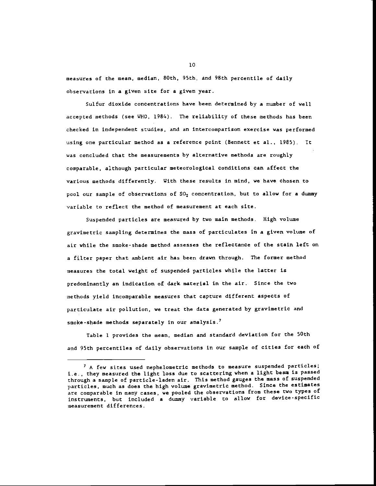measures of the mean, median, 80th, 95th, and 98th percentile of daily observations in a given site for a given year.

Sulfur dioxide concentrations have been determined by a number of well accepted methods (see WHO, 1984). The reliability of these methods has been checked in independent studies, and an intercomparison exercise was performed using one particular method as a reference point (Bennett et al., 1985). It was concluded that the measurements by alternative methods are roughly comparable, although particular meteorological conditions can affect the various methods differently. With these results in mind, we have chosen to pool our sample of observations of  $SO_2$  concentration, but to allow for a dummy variable to reflect the method of measurement at each site.

Suspended particles are measured by two main methods. High volume gravimetric sampling determines the mass of particulates in a given volume of air while the smoke-shade method assesses the reflectance of the stain left on a filter paper that ambient air has been drawn through. The former method measures the total weight of suspended particles while the latter is predominantly an indication of dark material in the air. Since the two methods yield incomparable measures that capture different aspects of particulate air pollution, we treat the data generated by gravimetric and smoke-shade methods separately in our analysis.<sup>7</sup>

Table I provides the mean, median and standard deviation for the 50th and 95th percentiles of daily observations in our sample of cities for each of

A few sites used nephelometric methods to measure suspended particles; i.e., they measured the light loss due to scattering when a light beam is passed through a sample of particle-laden air. This method gauges the mass of suspended particles, much as does the high volume gravimetric method. Since the estimates are comparable in many cases, we pooled the observations from these two types of instruments, but included a dummy variable to allow for device-specific measurement differences.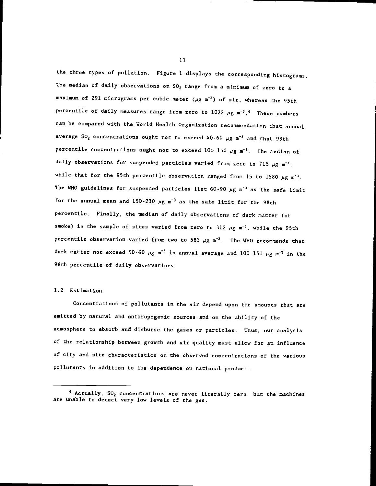the three types of pollution. Figure 1 displays the corresponding histograms. The median of daily observations on  $SO_2$  range from a minimum of zero to a maximum of 291 micrograms per cubic meter  $(\mu g \pi^{-3})$  of air, whereas the 95th percentile of daily measures range from zero to  $1022 \mu g m^{-3}$ .<sup>8</sup> These numbers can be compared with the World Health Organization recommendation that annual average SO<sub>2</sub> concentrations ought not to exceed 40-60  $\mu$ g m<sup>-3</sup> and that 98th percentile concentrations ought not to exceed 100-150  $\mu$ g m<sup>-3</sup>. The median of daily observations for suspended particles varied from zero to 715  $\mu$ g m<sup>-3</sup>, while that for the 95th percentile observation ranged from 15 to 1580  $\mu$ g m<sup>-3</sup>. The WHO guidelines for suspended particles list  $60-90 \mu g m^{-3}$  as the safe limit for the annual mean and  $150-230$   $\mu$ g m<sup>-3</sup> as the safe limit for the 98th percentile. Finally, the median of daily observations of dark matter (or smoke) in the sample of sites varied from zero to  $312 \mu g$  m<sup>-3</sup>, while the 95th percentile observation varied from two to 582  $\mu$ g m<sup>-3</sup>. The WHO recommends that dark matter not exceed 50-60  $\mu$ g m<sup>-3</sup> in annual average and 100-150  $\mu$ g m<sup>-3</sup> in the 98th percentile of daily observations.

#### 1.2 Estimation

Concentrations of pollutants in the air depend upon the amounts that are emitted by natural and anthropogenic sources and on the ability of the atmosphere to absorb and disburse the gases or particles. Thus, our analysis of the relationship between growth and air quality must allow for an influence of city and site characteristics on the observed concentrations of the various pollutants in addition to the dependence on national product.

 $^8$  Actually, SO<sub>2</sub> concentrations are never literally zero, but the machines are unable to detect very low levels of the gas.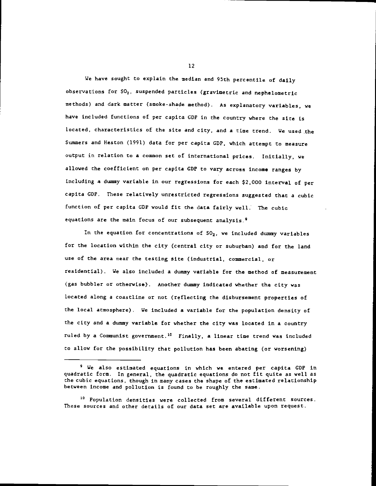We have sought to explain the median and 95th percentile of daily observations for  $SO_2$ , suspended particles (gravimetric and nephelometric methods) and dark matter (smoke-shade method). As explanatory variables, we have included functions of per capita GOP in the country where the site is located, characteristics of the site and city, and a time trend. We used the Summers and Heston (1991) data for per capita GDP, which attempt to measure output in relation to a common set of international prices. Initially, we allowed the coefficient on per capita CD? to vary across income ranges by including a dummy variable in our regressions for each \$2,000 interval of per capita GDP. These relatively unrestricted regressions suggested that a cubic function of per capita GDP would fit the data fairly well. The cubic equations are the main focus of our subsequent analysis.<sup>9</sup>

In the equation for concentrations of  $SO_2$ , we included dummy variables for the location within the city (central city or suburban) and for the land use of the area near the testing site (industrial, commercial, or residential). We also included a dummy variable for the method of measurement (gas bubbler or otherwise). Another dummy indicated whether the city was Located along a coastline or not (reflecting the disbursement properties of the local atmosphere). We included a variable for the population density of the city and a dummy variable for whether the city was located in a country ruled by a Communist government.<sup>10</sup> Finally, a linear time trend was included Co allow for the possibility that pollution has been abating (or worsening)

<sup>&</sup>lt;sup>9</sup> We also estimated equations in which we entered per capita GDP in quadratic form. In general, the quadratic equations do not fit quite as well as the cubic equations, though in many cases the shape of the estimated relationship between income and pollution is found to be roughly the same.

<sup>&</sup>lt;sup>10</sup> Population densities were collected from several different sources.<br>These sources and other details of our data set are available upon request.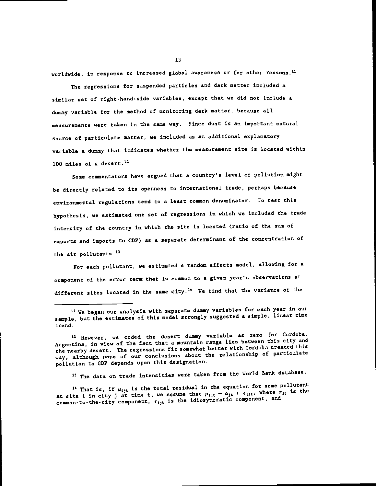worldwide, in response to increased global awareness or for other reasons.<sup>11</sup>

The regressions for suspended particles and dark matter included a similar sat of right-hand-side variables, except that we did not include a dummy variable for the method of monitoring dark matter, because all measurements were taken in the same way. Since dust is an important natural source of particulate matter, we included as an additional explanatory variable a dummy that indicates whether the measurement site is located within 100 miles of a desert.<sup>12</sup>

Some commentators have argued that a country's level of pollution might be directly related to its openness to international trade, perhaps because environmental regulations tend to a least common denominator. To test this hypothesis, we estimated one set of regressions in which we included the trade intensity of the country in which the site is located (ratio of the sum of exports and imports to CDP) as a separate determinant of the concentration of the air pollutants.<sup>13</sup>

For each pollutant, we estimated a random effects model, allowing for a component of the error term that is common to a given year's observations at different sites located in the same city.<sup>14</sup> We find that the variance of the

<sup>13</sup> The data on trade intensities were taken from the World Bank database.

<sup>14</sup> That is, if  $\mu_{ijk}$  is the total residual in the equation for some pollutant at site i in city j at time t, we assume that  $\mu_{ijt} = \alpha_{jt} + \epsilon_{ijt}$ , where  $\alpha_{jt}$  is the common-to-the-city component,  $\epsilon_{ijk}$  is the idiosyncratic component, and

<sup>&</sup>lt;sup>11</sup> We began our analysis with separate dummy variables for each year in our sample, but the estimates of this model strongly suggested a simple, linear time trend.

<sup>12</sup> However, we coded the desert dummy variable as zero for Cordoba. Argentina. in view of the fact that a mountain range lies between this city and the nearby desert. The regressions fit somewhat better with Cordoba treated this way, although none of our conclusions about the relationship of particulate pollution to CDP depends upon this designation.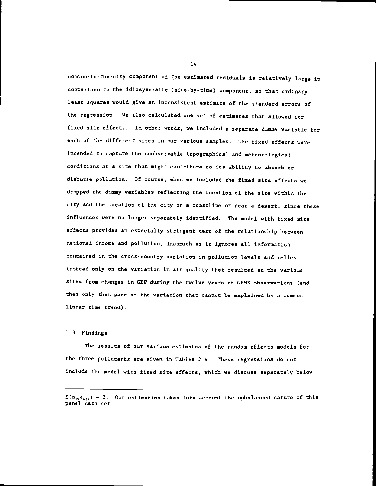common-to-the-city component of the estimated residuals is relatively large in comparison to the idiosyncratic (site-by-tine) component, so that ordinary least squares would give an inconsistent estimate of the standard errors of the regression. We also calculated one set of estimates that allowed for fixed site effects, In other words, we included a separate dummy variable for each of the different sites in our various samples. The fixed effects were intended to capture the unobservable topographical and meteorological conditions at a site that might contribute to its ability to absorb or disburse pollution. Of course, when we included the fixed site effects we dropped the dummy variables reflecting the location of the site within the city and the location of the city on a coastline or near a desert, since these influences were no longer separately identified. The model with fixed site effects provides an especially stringent test of the relationship between national income and pollution, inasmuch as it ignores all information contained in the cross-country variation in pollution levels and relies instead only on the variation in air quality that resulted at the various sites from changes in CDP during the twelve years of GEMS observations (and then only that part of the variation that cannot be explained by a common linear time trend).

#### 1.3 Findings

The results of our various estimates of the random effects models for the three pollutants are given in Tables 2-4. These regressions do not include the model with fixed site effects, which we discuss separately below.

 $E(\alpha_{jt}\epsilon_{ijt})=0$ . Our estimation takes into account the unbalanced nature of this panel data set.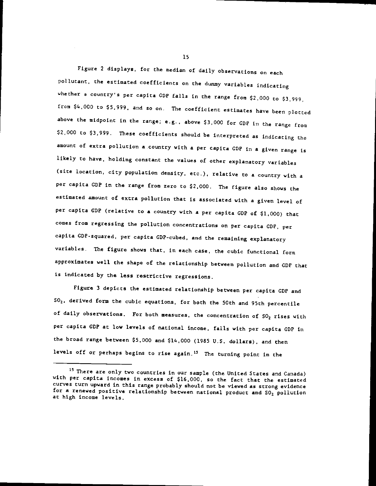Figure 2 displays, for the median of daily observations on each pollutant, the estimated coefficients on the dummy variables indicating whether a country's per capita GDP falls in the range from  $$2,000$  to  $$3,999$ . from \$4,000 to \$5,999, and so on. The coefficient estimates have been plotted above the midpoint in the range; e.g., above \$3,000 for GDP in the range from \$2,000 to \$3999. These coefficients should be interpreted as indicating the amount of extra pollution a.country with a per capita GD? in a given range is likely to have, holding constant the values of other explanatory variables (site location, city population density, etc.), relative to a country with a per capita COP in the range from zero to \$2,000. The figure also shows the estimated amount of extra pollution that is associated with a given level of per capita COP (relative to a country with a per capita GDP of \$1,000) that comes from regressing the pollution concentrations on per capita GD?, per capita COP-squared, per capita COP-cubed, and the remaining explanatory variables. The figure shows that, in each case, the cubic functional form approximates well the shape of the relationship between pollution and GOP that is indicated by the less restrictive regressions,

Figure <sup>3</sup> depicts the estimated relationship between per capita GD? and  $SO<sub>2</sub>$ , derived form the cubic equations, for both the 50th and 95th percentile of daily observations. For both measures, the concentration of  $SO_2$  rises with per capita CDP at low levels of national income, falls with per capita CDP in the broad range between \$5,000 and \$14,000 (1985 U.S. dollars), and then levels off or perhaps begins to rise again.<sup>15</sup> The turning point in the

<sup>&</sup>lt;sup>15</sup> There are only two countries in our sample (the United States and Canada) with per capita incomes in excess of \$16,000, so the fact that the estimated curves turn upward in this range probably should not be viewed as strong evidence for a renewed positive relationship between national product and  $SO_2$  pollution at high income levels.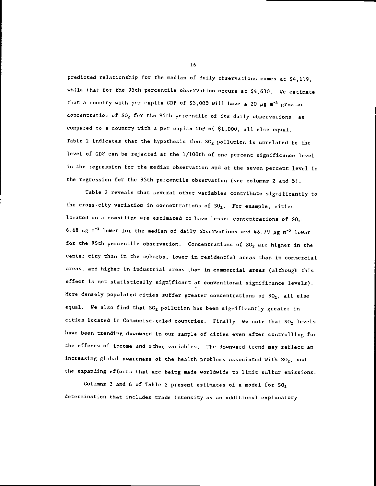predicted relationship for the median of daily observations comes at \$4,119, while that for the 95th percentile observation occurs at \$4,630. We estimate that a country with per capita GDP of \$5,000 will have a 20  $\mu$ g m<sup>-3</sup> greater concentration of  $SO_2$  for the 95th percentile of its daily observations, as compared to a country with a per capita CD? of \$1,000, all else equal. Table 2 indicates that the hypothesis that  $SO_2$  pollution is unrelated to the level of CD? can be rejected at the 1/100th of one percent significance level in the regression for the median observation and at the seven percent level in the regression for the 95th percentile observation (see columns 2 and 5).

Table 2 reveals that several other variables contribute significantly to the cross-city variation in concentrations of  $S0<sub>2</sub>$ . For example, cities located on a coastline are estimated to have lesser concentrations of  ${\rm SO}_2\colon$ 6.68  $\mu$ g m<sup>-3</sup> lower for the median of daily observations and 46.79  $\mu$ g m<sup>-3</sup> lower for the 95th percentile observation. Concentrations of  ${SO}_2$  are higher in the center city than in the suburbs, lower in residential areas than in commercial areas, and higher in industrial areas than in commercial areas (although this effect is not statistically significant at conventional significance levels). More densely populated cities suffer greater concentrations of  $\text{SO}_2$ , all else equal. We also find that  $SO_2$  pollution has been significantly greater in cities located in Communist-ruled countries. Finally, we note that  ${\tt SO_2}$  levels have been trending downward in our sample of cities even after controlling for the effects of income and other variables. The downward trend may reflect an increasing global awareness of the health problems associated with  $SO_2$ , and the expanding efforts that are being made worldwide to limit sulfur emissions.

Columns 3 and 6 of Table 2 present estimates of a model for  $SO_2$ determination that includes trade intensity as an additional explanatory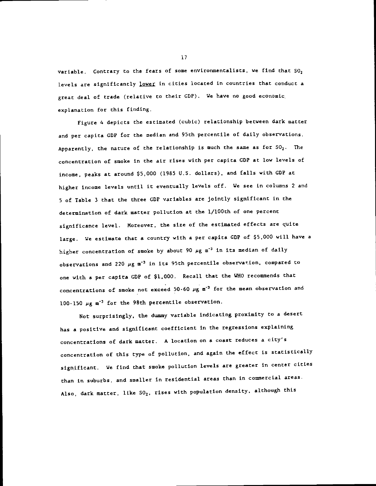variable. Contrary to the fears of some environmentalists, we find that  $SO_2$ levels are significantly lower in cities located in countries that conduct a great deaL of trade (relative to their GOP). We have no good economic explanation for this finding.

Figure 4 depicts the estimated (cubic) relationship between dark matter and per capita CDP for the median and 95th percentile of daily observations. Apparently, the nature of the relationship is much the same as for  $50<sub>2</sub>$ . The concentration of smoke in the air rises with per capita GOP at low levels of income, peaks at around \$5,000 (1985 U.S. dollars). and faLls with GOP at higher income levels until it eventually levels off. We see in columns 2 and 5 of Table 3 that the three CD? variables are jointly significant in the determination of dark matter pollution at the 1/100th of one percent significance level. Moreover, the size of the estimated effects are quite large. We estimate that a country with a per capita GDP of \$5,000 will have a higher concentration of smoke by about 90  $\mu$ g m<sup>-3</sup> in its median of daily observations and 220  $\mu$ g m<sup>-3</sup> in its 95th percentile observation, compared to one with a per capita COP of \$1,000. Recall that the WHO recommends that concentrations of smoke not exceed 50-60  $\mu$ g m<sup>-3</sup> for the mean observation and 100-150  $\mu$ g m<sup>-3</sup> for the 98th percentile observation.

Not surprisingly, the dummy variable indicating proximity to a desert has a positive and significant coefficient in the regressions explaining concentrations of dark matter. A location on a coast reduces a city's concentration of this type of pollution, and again the effect is statistically significant. We find that smoke pollution levels are greater in center cities than in suburbs, and smaller in residential areas than in commercial areas. Also, dark matter, like  $SO_2$ , rises with population density, although this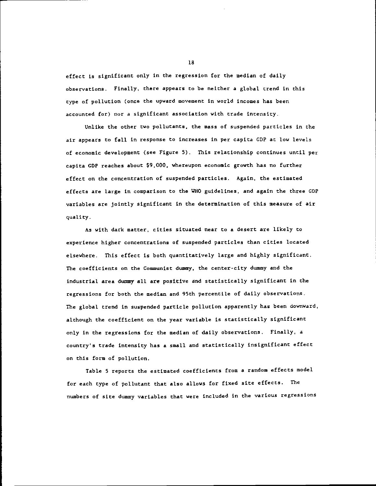effect is significant only in the regression for the median of daily observations. Finally, there appears to be neither a global trend in this type of pollution (once the upward movement in world incomes has been accounted for) nor a significant association with trade intensity.

Unlike the other two pollutants, the mass of suspended particles in the air appears to fall in response to increases in per capita GDP at low levels of economic deveLopment (see Figure 5). This relationship continues until per capita GOP reaches about \$9,000, whereupon economic growth has no further effect on the concentration of suspended particles. Again, the estimated effects are large in comparison to the WHO guidelines, and again the three CD? variables are jointly significant in the determination of this measure of air quality.

As with dark matter, cities situated near to a desert are likely to experience higher concentrations of suspended particles than cities located elsewhere. This effect is both quantitatively large and highly significant. The coefficients on the Communist dummy, the center-city dummy and the industrial area dummy all are positive and statistically significant in the regressions for both the median and 95th percentile of daily observations. The global trend in suspended particle pollution apparently has been downward, although the coefficient on the year variable is statistically significant only in the regressions for the median of daily observations. Finally, a country's trade intensity has a small and statistically insignificant effect on this form of pollution.

Table 5 reports the estimated coefficients from a random effects model for each type of pollutant that also allows for fixed site effects. The numbers of site dummy variables that were included in the various regressions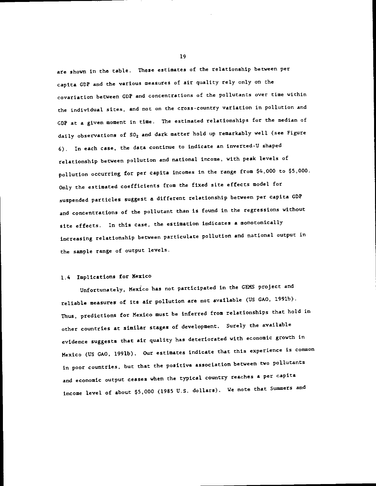are shown in the table. These estimates of the relationship between per capita GD? and the various measures of air quality rely only on the covariation between GD? and concentrations of the pollutants over time within the individual sites, and not on the cross-country variation in pollution and GD? at a given moment in time. The estimated relationships for the median of daily observations of  $SO_2$  and dark matter hold up remarkably well (see Figure 6). In each case, the data continue to indicate an inverted-U shaped relationship between pollution and national income, with peak levels of pollution occurring for per capita incomes in the range from \$4,000 to \$5,000. Only the estimated coefficients from the fixed site effects model for suspended particles suggest a different relationship between per capita GD? and concentrations of the pollutant than is found in the regressions without site effects. In this case, the estimation indicates a monotonically increasing relationship between particulate pollution and national output in the sample range of output levels.

#### 1.4 Implications for Mexico

Unfortunately, Mexico has not participated in the GEXS project and reliable measures of its air pollution are not available (US GAO, 199lb). Thus, predictions for Mexico must be inferred from relationships that hoLd in other countries at similar stages of development. Surely the available evidence suggests that air quality has deteriorated with economic growth in Mexico (US GAO, l99lb). Our estimates indicate that this experience is common in poor countries, but that the positive association between two pollutants and economic output ceases when the typical country reaches a per capita income level of about \$5,000 (1985 U.S. dollars). We note that Summers and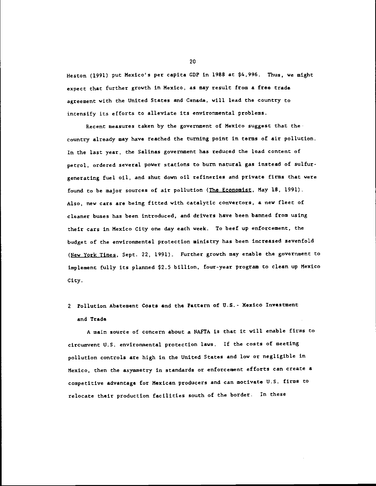Heston (1991) put Mexico's per capita GDP in 1988 at \$4,996. Thus, we might expect that further growth in Mexico, as may result from a free trade agreement with the United States and Canada, wild lead the country to intensify its efforts to alleviate its environmental problems.

Recent measures taken by the government of Mexico suggest that the country already may have reached the turning point in terms of air pollution. In the last year, the Salinas government has reduced the lead content of petrol, ordered several power stations to burn natural gas instead of sulfurgenerating fuel oil, and shut down oil refineries and private firms that were found to be major sources of air pollution (The Economist. May 18, 1991). Also, new cars are being fitted with catalytic convertors, a new fleet of cleaner buses has been introduced, and drivers have been banned from using their cars in Mexico City one day each week. To beef up enforcement, the budget of the environmental protection ministry has been increased sevenfold (New York Times, Sept. 22, 1991). Further growth may enable the government to implement fully its planned \$2.5 billion, four-year program to clean up Mexico City.

#### 2 Pollution Abatement Costs and the Pattern of U.S. - Mexico Investment and Trade

A main source of concern about a NAFTA is that it will enable firms to circumvent U.S. environmental protection laws. If the costs of meeting pollution controls are high in the United States and low or negligible in Mexico, then the asymmetry in standards or enforcement efforts can create a competitive advantage for Mexican producers and can motivate U.S. firms to relocate their production facilities south of the border. In these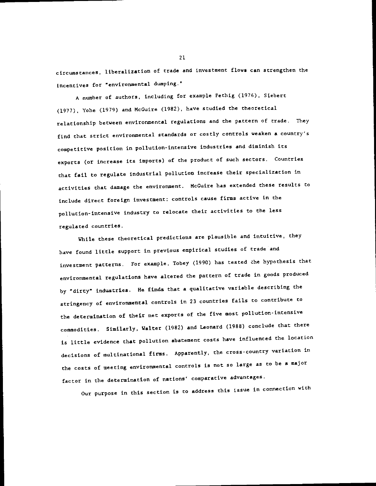circumstances liberalization of trade and investment flows can strengthen the incentives for "environmental dumping

A number of authors, including for example Pethig (1976), Siebert (1977). Yohe (1979) and McGuire (1982), have studied the theoretical relationship between environmental regulations and the pattern of trade. They find that strict environmental standards or costly controls weaken a country's competitive position in pollution-intensive industries and diminish its exports (or increase its imports) of the product of such sectors. Countries that fail to regulate industrial pollutioo increase their specialization in activities that damage the environment. Kccuire has extended these results to include direct foreign investment: controls cause firms active in the pollution-intensive industry to relocate their activities to the less regulated countries.

While these theoretical predictions are plausible and intuitive, they have found little support in previous empirical studies of trade and investment patterns. For example, Tobey (1990) has tested the hypothesis that environmental regulations have altered the pattern of trade in goods produced by "dirty" industries. lie finds that a qualitative variable describing the stringency of environmental controls in 23 countries fails to contribute to the determination of their net exports of the five most pollution-intensive commodities. Similarly. Walter (1982) and Leonard (1988) conclude that there is little evidence that pollution abatement costs have influenced the location decisions of multinational firms. Apparently, the cross-country variation in the costs of meeting environmental controls is not so large as to be a major factor in the determination of nations' comparative advantages.

Our purpose in this section is to address this issue in connection with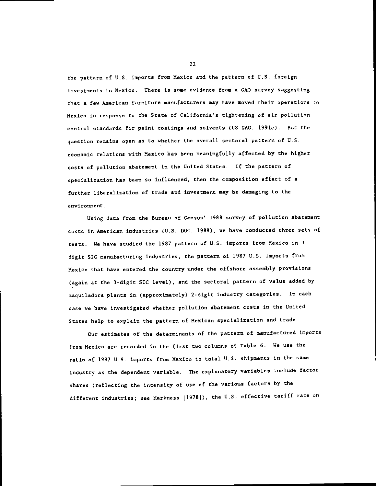the pattern of U.S. imports from Mexico and the pattern of U.S. foreign investments in Mexico- There is some evidence from a GAO survey suggesting that a few American furniture manufacturers may have moved their operations to Mexico in response to the State of California's tightening of air pollution control standards for paint coatings and solvents (US CAO, l991c). But the question remains open as to whether the overall sectoral pattern of U.S. economic relations with Mexico has been meaningfully affected by the higher costs of pollution abatement in the United States. If the pattern of specialization has been so influenced, then the composition effect of a further liberalization of trade and investment may be damaging to the environment.

Using data from the Bureau of Census' 1988 survey of pollution abatement costs in American industries (U.S. DOC, 1988). we have conducted three sets of tests. We have studied the 1987 pattern of U.S. imports from Mexico in 3 digit SIC manufacturing industries, the pattern of 1987 U.S. imports from Mexico that have entered the country under the offshore assembly provisions (again at the 3-digit SIC level), and the sectoral pattern of value added by maquiladora plants in (approximately) 2-digit industry categories. In each case we have investigated whether pollution abatement costs in the United States help to explain the pattern of Mexican specialization and trade.

Our estimates of the determinants of the pattern of manufactured imports from Mexico are recorded in the first two columns of Table 6. We use the ratio of 1987 U.S. imports from Mexico to total U.S. shipments in the same industry as the dependent variable. The explanatory variables include factor shares (reflecting the intensity of use of the various factors by the different industries; see Harkness [1978]), the U.S. effective tariff rate on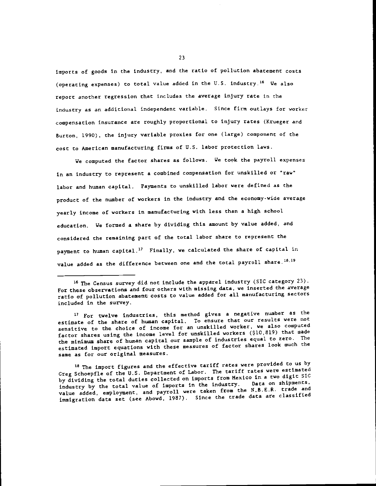imports of goods in the industry, and the ratio of pollution abatement costs (operating expenses) to total value added in the U.S. industry.<sup>16</sup> We also report another regression that includes the average injury rate in the industry as an additional independent variable. Since firm outlays for worker compensation insurance are roughly proportional to injury rates (Krueger and Burton, 1990). the injury variable proxies for one (large) component of the cost to American manufacturing firms of U.S. labor protection laws.

We computed the factor shares as follows. We took the payroll expenses in an industry to represent a combined compensation for unskilled or "raw" Labor and human capital. Payments to unskilled labor were defined as the product of the number of workers in the industry and the economy-wide average yearly income of workers in manufacturing with less than a high school education. We formed a share by dividing this amount by value added, and considered the remaining part of the total labor share to represent the payment to human capital.<sup>17</sup> Finally, we calculated the share of capital in value added as the difference between one and the total payroll share.<sup>16,19</sup>

<sup>18</sup> The import figures and the effective tariff rates were provided to us by Greg Schoepfle of the U.S. Department of Labor. The tariff rates were estimated by dividing the total duties collected on imports from Mexico in a two digit SIC industry by the total value of imports in the industry. Data On shipments, value added, employment, and payroll were taken from the N.B.E.R. trade and immigration data set (see Abowd, 1987). Since the trade data are classified

 $16$  The Census survey did not include the apparel industry (SIC category 23). For these observations and four others with missing data, we inserted the average ratio of pollution abatement costs to value added for all manufacturing sectors included in the survey.

For tvelve industries, this method gives a negative number as the estimate of the share of human capital. To ensure that our results were not sensitive to the choice of income for an unskilled worker, we also computed factor shares using the income level for unskilled workers (\$10,819) that wade the minimum share of human capital our sample of industries equal to zero. The estimated import equations with these measures of factor shares look much the same as for our original measures.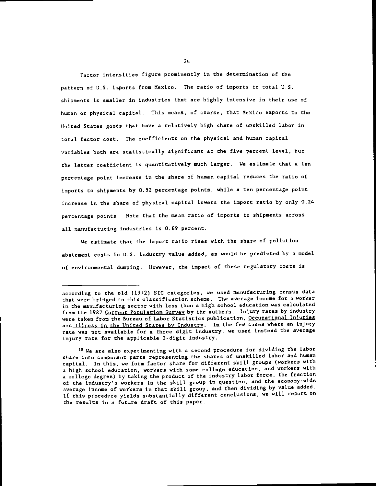Factor intensities figure prominently in the determination of the pattern of U.S. imports from Mexico. The ratio of imports to total U.S. shipments is smaller in industries that are highly intensive in their use of human or physicat capital. This means, of course, that Mexico exports to the United States goods that have a relatively high share of unskilled Labor in total factor cost. The coefficients on the physical. and human capital variables both are statistically significant at the five percent level, but the latter coefficient is quantitatively much larger. We estimate that a ten percentage point increase in the share of human capital reduces the ratio of imports to shipments by 0.52 percentage points, while a ten percentage point increase in the share of physical capital lowers the import ratio by only 0.24 percentage points. Note that the mean ratio of imports to shipments across all manufacturing industries is 0.69 percent.

We estimate that the import ratio rises with the share of pollution abatement costs in U.S. industry value added, as would be predicted by a model of environmental dumping. However, the impact of these regulatory costs is

according to the old (1972) SIC categories, we used manufacturing census data that were bridged to this classification scheme. The average income for a worker in the manufacturing sector with less than a high school education was calculated from the 1987 Current Population Survey by the authors. Injury rates by industry were taken from the Bureau of Labor Statistics publication. Occupational Injuries and Illness in the United States by Industry. In the few cases where an injury rate was not available for a three digit industry, we used instead the average injury rate for the applicable 2-digit industry.

<sup>&</sup>lt;sup>9</sup> We are also experimenting with a second procedure for dividing the labor share into component parts representing the shares of unskilled labor and human capital. In this, we form factor share for different skill groups (workers with a high school education, workers with some college education, and workers with a college degree) by taking the product of the industry labor force, the fraction of the industry's workers in the skill group in question, and the economy-wide average income of workers in that skill group, and then dividing by value added. If this procedure yields substantially different conclusions, we will report on the results in a future draft of this paper.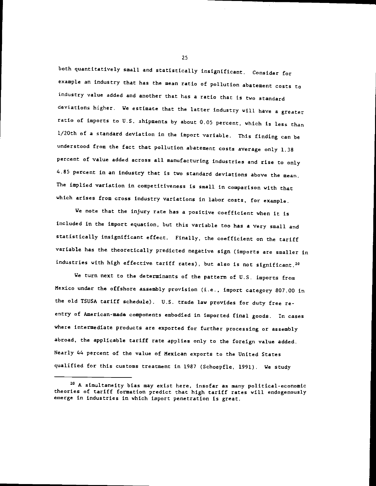both quantitatively small and statistically insignificant. Consider for example an industry that has the mean ratio of pollution abatement costs to industry value added and another that has a ratio that is two standard deviations higher. We estimate that the latter industry will have a greater ratio of imports to U.S. shipments by about 0.05 percent, which is less than 1/20th of a standard deviation in the import variable. This finding can be understood from the fact that pollution abatement costs average only 1.38 percent of value added across all manufacturing industries and rise to only 4.85 percent in an industry that is two standard deviations above the mean. The implied variation in competitiveness is small in comparison with that which arises from cross industry variations in Labor costs, for example.

We note that the injury rate has a positive coefficient when it is included in the import equation, but this variable too has a very small and statistically insignificant effect. Finally, the coefficient on the tariff variable has the theoretically predicted negative sign (imports are smaller in industries with high effective tariff rates), but also is not significant.2°

We turn next to the determinants of the pattern of U.S. imports from Mexico under the offshore assembly provision (i.e., import category 207.00 in the old TSUSA tariff schedule). U.S. trade law provides for duty free reentry of American-made components embodied in imported final goods. In cases where intermediate products are exported for further processing or assembly abroad, the applicable tariff rate applies only to the foreign value added. Nearly 44 percent of the value of Kexican exports to the United States qualified for this customs treatment in 1987 (Schoepfle, 1991). We study

<sup>20</sup> A simultaneity bias may exist here, insofar as many political-economic theories of tariff formation predict that high tariff rates will endogenously emerge in industries in which import penetration is great.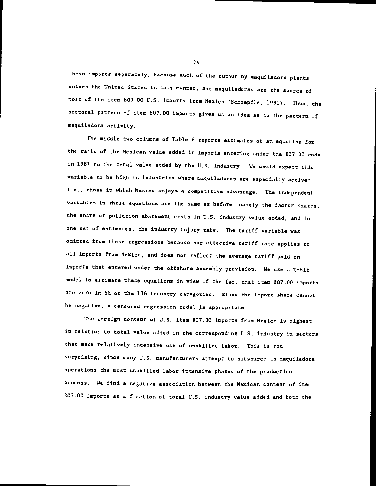these imports separately, because much of the output by maquiladora plants enters the United States in this manner, and maquiladoras are the source of most of the item 807.00 U.S. imports from Mexico (Schoepfle. 1991). Thus, the sectoral pattern of item 807.00 imports gives us an idea as to the pattern of maquiladora activity.

The middle two columns of Table 6 reports estimates of an equation for the ratio of the Mexican value added in imports entering under the 807.00 code in 1987 to the total value added by the U.S. industry. We would expect this variable to be high in industries where maquiladoras are especially active; i.e., those in which Mexico enjoys a competitive advantage. The independent variables in these equations are the same as before, namely the factor shares, the share of pollution abatement-costs in U.S. industry value added, and in one set of estimates, the industry injury rate. The tariff variable was omitted from these regressions because our effective tariff rate applies to all imports from Mexico, and does not reflect the average tariff paid on imports that entered under the offshore assembly provision. We use a tobit model to estimate these equations in view of the fact that item 807.00 imports are zero in 58 of the 136 industry categories. Since the import share cannot be negative, a censored regression model is appropriate.

The foreign content of U.S. item 807.00 imports from Mexico is highest in relation to total value added in the corresponding U.S. industry in sectors that make relatively intensive use of unskilled labor. This is not surprising, since many U.S. manufacturers attempt to outsource to maquiladora operations the most unskilled labor intensive phases of the production process. We find a negative association between the Mexican content of item 807.00 Imports as a fraction of total U.S. industry value added and both the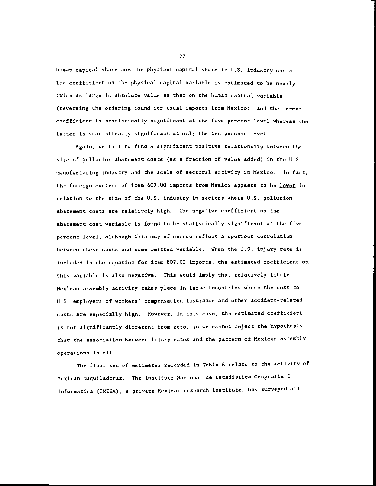human capital share and the physical capital share in U.S. industry costs. The coefficient on the physical capital variable is estimated to be nearly twice as large in absolute value as that on the human capital variable (reversing the ordering found for total imports from Mexico), and the former coefficient is statistically significant at the five percent level whereas the latter is statistically significant at only the ten percent level.

Again, we fail to find a significant positive relationship between the size of pollution abatement costs (as a fraction of value added) in the U.S. manufacturing industry and the scale of sectoral activity in Mexico. In fact, the foreign content of item 807.00 imports from Mexico appears to be lower in relation to the size of the U.S. industry in sectors where U.S. pollution abatement costs are relatively high. The negative coefficient on the abatement cost variable is found to be statistically significant at the five percent level, although this may of course reflect a spurious correlation between these costs and some omitted variable. When the U.S. injury rate is included in the equation for item 807.00 imports, the estimated coefficient on this variable is also negative. This would imply that relatively little Mexican assembly activity takes place in those industries where the cost to US. employers of workers' compensation insurance and other accident-related costs are especially high. However, in this case, the estimated coefficient is not significantly different from zero, so we cannot reject the hypothesis that the association between injury rates and the pattern of Mexican assembly operations is nil.

The final set of estimates recorded in Table 6 relate to the activity of Mexican maquiladoras. The Instituto Nacional de Estadistica Geografia E Informatica (INECA), a private Mexican research institute, has surveyed all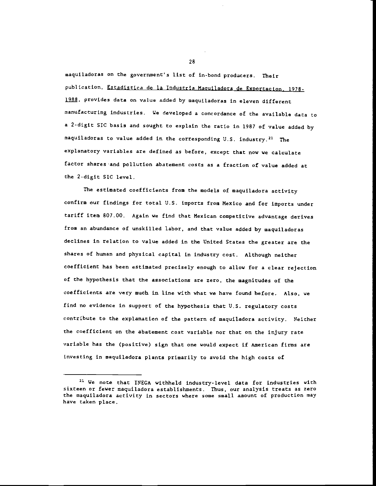maquiladoras on the government's List of in-bond producers. Their publication, Estadistica de la Industria Maquiladora de Exportacion. 1978-1988. provides data on value added by maquiladoras in eleven different manufacturing industries. We developed a concordance of the available data to a 2-digit SIC basis and sought to explain the ratio in 1987 of value added by maquiladoras to value added in the corresponding U.S. industry.2' The explanatory variables are defined as before, except that now we calculate factor shares and pollution abatement costs as a fraction of value added at the 2-digit SIC level.

The estimated coefficients from the models of maquiladora activity confirm our findings for total U.S. imports from Mexico and for imports under tariff item 807.00. Again we find that Mexican competitive advantage derives from an abundance of unskilled labor, and that value added by maquiladoras declines in relation to value added in the United States the greater are the shares of human and physical capital in industry cost. Although neither coefficient has been estimated precisely enough to allow for a clear rejection of the hypothesis that the associations are zero, the magnitudes of the coefficients are very much in line with what we have found before. Also, we find no evidence in support of the hypothesis that U.S. regulatory costs contribute to the explanation of the pattern of maquiladora activity. Neither the coefficient on the abatement cost variable nor that on the injury rate variable has the (positive) sign that one would expect if American firms are investing in maquiladora plants primarily to avoid the high costs of

 $21$  We note that INEGA withheld industry-level data for industries with sixteen or fewer maquiladora establishments. Thus, our analysis treats as zero the maquiladora activity in sectors where some small amount of production may have taken place.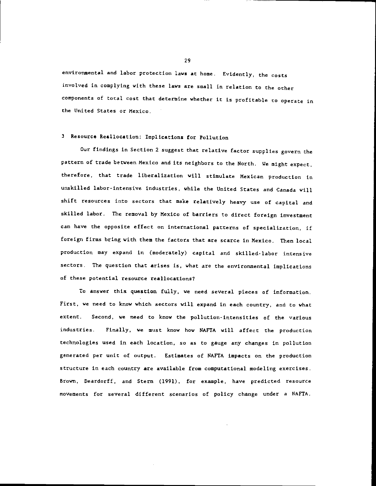environmental and labor protection laws at home. Evidently, the costs involved in complying with these laws are small in relation to the other components of total cost that determine whether it is profitable to operate in the United States or Mexico.

#### 3 Resource Reallocation: Implications for Pollution

Our findings in Section 2 suggest that relative factor supplies govern the pattern of trade between Mexico and its neighbors to the North. We might expect, therefore, that trade liberalization will stimulate Mexican production in unskilled labor-intensive industries, while the United States and Canada will shift resources into sectors that make relatively heavy use of capital and skilled labor. The removal by Mexico of barriers to direct foreign investment can have the opposite effect on international patterns of specialization, if foreign firms bring with them the factors that are scarce in Mexico. Then local production may expand in (moderately) capital and skilled-labor intensive sectors. The question that arises is, what are the environmental implications of these potential resource reallocations?

To answer this question fully, we need several pieces of information. First, we need to know which sectors will expand in each country, and to what extent. Second, we need to know the pollution-intensities of the various industries. Finally, we must know how NAFrA will affect the production technologies used in each location, so as to gauge any changes in pollution generated per unit of output. Estimates of NAflA impacts on the production structure in each country are available from computational modeling exercises. Brown, Deardorff, and Stern (1991), for example, have predicted resource movements for several different scenarios of policy change under a NAFTA.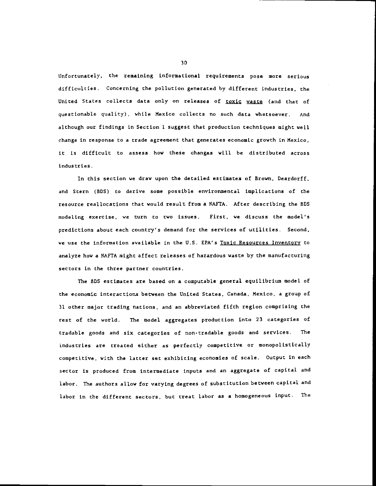Unfortunately, the remaining informational requirements pose more serious difficulties. Concerning the pollution generated by different industries, the United States collects data only on releases of toxic waste (and that of questionable quality), while Mexico collects no such data whatsoever. And although our findings in Section 1 suggest that production techniques might well. change in response to a trade agreement that generates economic growth in Mexico, it is difficult to assess how these changes will be distributed across industries.

In this section we draw upon the detailed estimates of Brown, Deardorff, and Stern (BBS) to derive some possible environmental implications of the resource reallocations that would result from a NAFTA. After describing the SOS modeling exercise, we turn to two issues. First, we discuss the model's predictions about each country's demand for the services of utilities. Second, we use the information available in the U.S. EPA's Toxic Resources Inventory to analyze how a NAFTA might affect releases of hazardous waste by the manufacturing sectors in the three partner countries.

The BbS estimates are based on a computable general equilibrium model of the economic interactions between the United States, Canada, Mexico, a group of 31 other major trading nations, and an abbreviated fifth region comprising the rest of the world. The model aggregates production into 23 categories of tradable goods and six categories of non-tradable goods and services. The industries are treated either as perfectLy competitive or monopolistically competitive, with the latter set exhibiting economies of scale. Output in each sector is produced from intermediate inputs and an aggregate of capital and Labor. The authors allow for varying degrees of substitution between capital and labor in the different sectors, but treat labor as a homogeneous input. The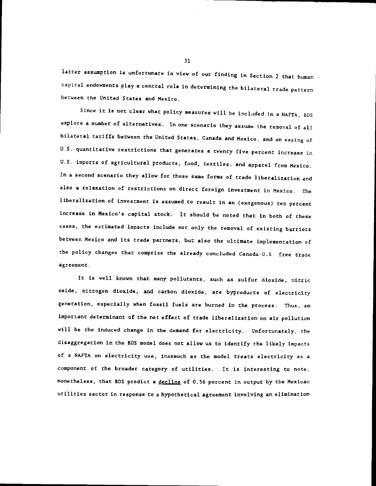latter assumption is unfortunate in view of our finding in Section 2 that human capital endowments play a central role in determining the bilateral trade pattern between the United States and Mexico.

Since it is not clear what policy measures will be included in a NAFTA, BDS explore a number of alternatives. In one scenario they assume the removal of all bilateral tariffs between the United States, Canada and Mexico, and an easing of U.S. quantitative restrictions that generates a twenty five percent increase in U.S. imports of agricultural products, food, textiles, and apparel from Mexico. In a second scenario they allow for these same forms of trade liberalization and also a relaxation of restrictions on direct foreign investment in hexico. The liberalization of investment is assumed to result in an (exogenous) ten percent increase in Mexico's capital stock. It should be noted that in both of these cases, the estimated impacts include not only the removal of existing barriers between Mexico and its trade partners, but also the ultimate implementation of the policy changes that comprise the already concluded Canada-U.S. free trade agreement.

It is well known that many pollutants, such as sulfur dioxide, nitric oxide, nitrogen dioxide, and carbon dioxide, are byproducts of electricity generation, especially when fossil fuels are burned in the process. Thus, an important determinant of the net effect of trade liberalization on air pollution will be the induced change in the demand for electricity. Unfortunately, the disaggregation in the EDS model does not allow us to identify the likely impacts of a NAFTA on electricity use, inasmuch as the model treats electricity as a component of the broader category of utilities. It is interesting to note, nonetheless, that BDS predict a decline of 0.56 percent in output by the Mexican utilities sector in response to a hypothetical agreement involving an elimination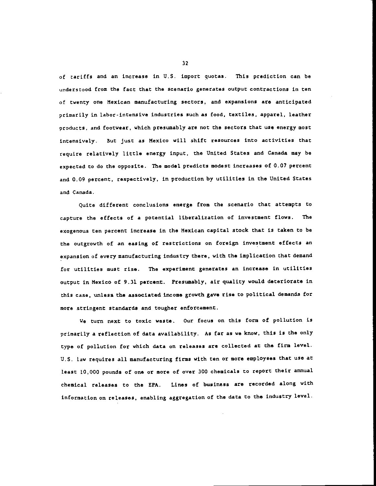of tariffs and an increase in U.S. import quotas. This prediction can be understood from the fact that the scenario generates output contractions in ten of twenty one Mexican manufacturing sectors, and expansions are anticipated primarily in labor-intensive industries such as food, textiles, apparel, leather products, and footwear, which presumably are not the sectors that use energy most intensively. But just as Mexico will shift resources into activities that require relatively little energy input, the United States and Canada may be expected to do the opposite. The model predicts modest increases of 0.07 percent and 0.09 percent, respectively, in production by utilities in the United States and Canada.

Quite different conclusions emerge from the scenario that attempts to capture the effects of a potential liberalization of investment flows. The exogenous ten percent increase in the Mexican capital stock that is taken to be the outgrowth of an easing of restrictions on foreign investment effects an expansion of every manufacturing industry there, with the implication that demand for utilities must rise. The experiment generates an increase in utilities output in Mexico of 9.31. percent. Presumably, air quality would deteriorate in this case, unless the associated thcome growth gave rise to political demands for more stringent standards and tougher enforcement.

We turn next to toxic waste. Our focus on this form of pollution is primarily a reflection of data availability. As far as we know, this is the only type of pollution for which data on releases are collected at the firm level. U.S. law requires all manufacturing firms with ten or more employees that use at Least 10,000 pounds of one or more of over 300 chemicals to report their annual chemical releases to the EPA. Lines of business are recorded along with information on releases, enabling aggregation of the data to the industry level.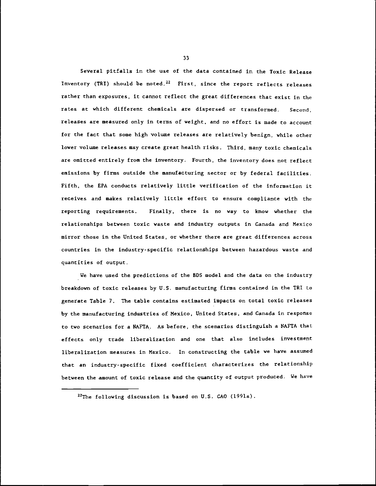Several pitfalls in the use of the data contained in the Toxic Release Inventory (TRI) should be noted.<sup>22</sup> First, since the report reflects releases rather than exposures, it cannot reflect the great differences that exist in the rates at which different chemicals are dispersed or transformed. Second, releases are measured only in terms of weight, and no effort is made to account for the fact that some high volume releases are relatively benign, while other lower volume releases may create great health risks. Third, many toxic chemicals are omitted entirely from the inventory. Fourth, the inventory does not reflect emissions by firms outside the manufacturing sector or by federal facilities. Fifth, the EPA conducts relatively little verification of the information it receives and makes relatively little effort to ensure compliance with the reporting requirements. Finally, there is no way to know whether the relationships between toxic waste and industry outputs in Canada and Mexico mirror those in the United States, or whether there are great differences across countries in the industry-specific relationships between hazardous waste and quantities of output.

We have used the predictions of the BDS model and the data on the industry breakdown of toxic releases by U.S. manufacturing firms contained in the TRI to generate Table 7. The table contains estimated impacts on total toxic releases by the manufacturing industries of Mexico, United States, and Canada in response to two scenarios for a NAFTA. As before, the scenarios distinguish a NAFTA that effects only trade liberalization and one that also includes investment liberalization measures in Mexico. In constructing the table we have assumed that an industry-specific fixed coefficient characterizes the relationship between the amount of toxic release and the quantity of output produced. We have

<sup>22</sup>The following discussion is based on U.S. GAO (199la).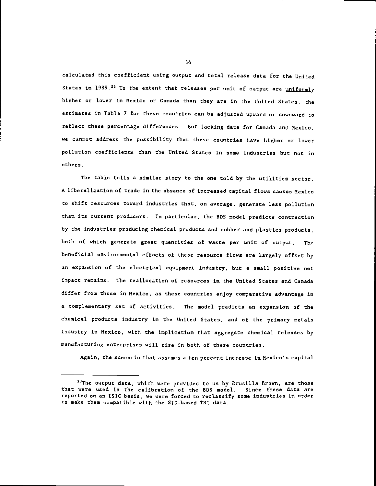calculated this coefficient using output and total release data for the United States in  $1989.$ <sup>23</sup> To the extent that releases per unit of output are uniformly higher or lower in Mexico or Canada than they are in the United States, the estimates in Table 7 for these countries can be adjusted upward or downward to reflect these percentage differences. But lacking data for Canada and Mexico, we cannot address the possibility that these countries have higher or lower pollution coefficients than the United States in some industries but not in others.

The table tells a similar story to the one told by the utilities sector. A liberalization of trade in the absence of increased capital flows causes Mexico to shift resources toward industries that, on average, generate less pollution than its current producers. In particular, the EDS model predicts contraction by the industries producing chemical products and rubber and plastics products, both of which generate great quantities of waste per unit of output. The beneficial environmental effects of these resource flows are largely offset by an expansion of the electrical equipment industry, but a small positive net impact remains. The reallocation of resources in the United States and Canada differ from those in Mexico, as. these countries enjoy comparative advantage in a complementary set of activities. The model predicts an expansion of the chemical products industry in the United States, and of the primary metals industry in Mexico, with the implication that aggregate chemical releases by manufacturing enterprises will rise in both of these countries.

Again, the scenario that assumes a ten percent increase in Mexico's capital

 $23$ The output data, which were provided to us by Drusilla Brown, are those that were used in the calibration of the BDS model. Since these data are reported on an ISIC basis, we were forced to reclassify some industries in order to make them compatible with the SIC-based TRI data.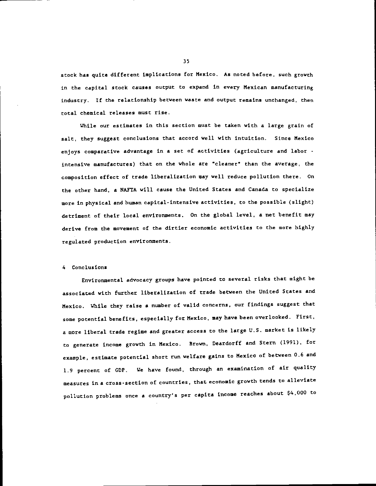stock has quite different implications for Mexico. As noted before, such growth in the capital stock causes output to expand in every Mexican manufacturing industry. If the relationship between waste and output remains unchanged, then total chemical releases must rise.

While our estimates in this section must be taken with a large grain of salt, they suggest conclusions that accord well with intuition. Since Mexico enjoys comparative advantage in a set of activities (agriculture and labor intensive manufactures) that on the whole are "cleaner" than the average, the composition effect of trade liberalization way well reduce pollution there. On the other hand, a NAFTA will cause the United States and Canada to specialize more in physical and human capital-intensive activities, to the possible (slight) detriment of their local environments. On the global level, a net benefit may derive from the movement of the dirtier economic activities to the more highly regulated production environments.

#### 4 Conclusions

Environmental advocacy groups have pointed to several risks that might be associated with further liberalization of trade between the United States and Mexico. While they raise a number of valid concerns, our findings suggest that some potential benefits, especially for Mexico, may have been overlooked. First, a more liberal trade regime and greater access to the large U.S. market is likely to generate income growth in Mexico. Brown, Deardorff and Stern (1991). for example, estimate potential short run welfare gains to Mexico of between 0.6 and 1.9 percent of CDP. We have found, through an examination of air quality measures in a cross-section of countries, that economic growth tends to alleviate pollution problems once a country's per capita income reaches about \$4,000 to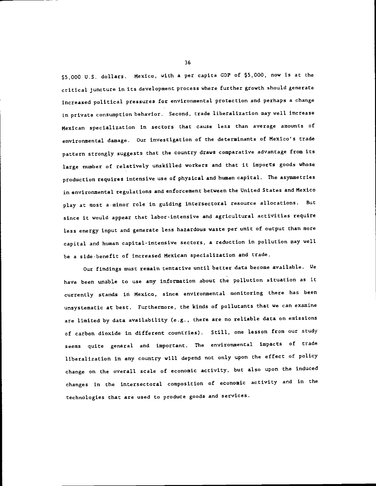\$5,000 U.S. dollars. Mexico, with a per capita GDP of \$5,000, now is at the critical juncture in its development process where further growth should generate increased political pressures for environmental protection and perhaps a change in private consumption behavior. Second, trade liberalization may well increase Mexican specialization in sectors that cause less than average amounts of environmental damage. Our investigation of the determinants of Mexico's trade pattern strongly suggests that the country draws comparative advantage from its large number of relatively unskilled workers and that it imports goods whose production requires intensive use of physical and human capital. The asymmetries in environmental regulations and enforcement between the United States and Mexico play at most a minor role in guiding intersectoral resource allocations. But since it would appear that labor-intensive and agricultural activities require less energy input and generate less hazardous waste per unit of output than more capitaL and human capital-intensive sectors, a reduction in pollution may well be a side-benefit of increased Mexican specialization and trade.

Our findings must remain tentative until better data become available. Ve have been unable to use any information about the pollution situation as it currently stands in Mexico, since environmental monitoring there has been unsystematic at best. Furthermore, the kinds of pollutants that we can examine are limited by data availability (e.g., there are no reliable data on emissions of carbon dioxide in different countries). Still, one lesson from our study seems quite general and important. The environmental impacts of trade liberalization in any country will depend not only upon the effect of policy change on the overall scale of economic activity, but also upon the induced changes in the intersectoral composition of economic activity and in the technologies that are used to produce goods and services.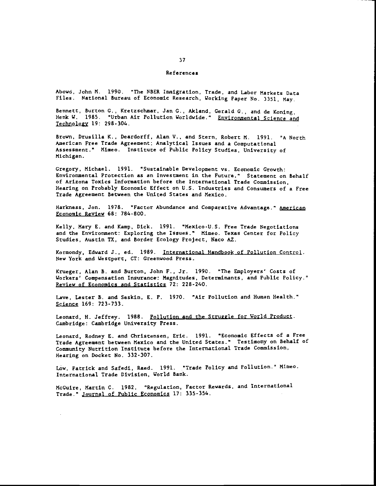#### References

Abowd, John M. 1990. "The NBER Immigration, Trade, and Labor Markets Data Files. National Bureau of Economic Research, Working Paper No. 3351, May.

Bennett, Burton G., Kretzschmar, Jan G., Akland, Gerald G., and de Koning, Henk W. 1985. "Urban Air Pollution Worldwide." Environmental Science and Technology 19: 298-304.

Brown, Drusilla K., Deardorff, Alan V., and Stern, Robert K. 1991, "A North American Free Trade Agreement: Analytical Issues and a Computational Assessment." Mimeo. Institute of Public Policy Studies, University of Michigan.

Gregory, Michael. 1991. "Sustainable Development vs. Economic Growth; Environmental Protection as an Investment in the Future." Statement on Behalf of Arizona Toxics Information before the International Trade Commission, Hearing on Probably Economic Effect on U.S. Industries and Consumers of a Free Trade Agreement Between the United States and Mexico.

Harkness, Jon. 1978. "Factor Abundance and Comparative Advantage." American Economic Review 68: 784-800.

Kelly. Mary E. and Kamp, Dick. 1991. "Mexico-U.S. Free Trade Negotiations and the Environment: Exploring the Issues." Mimeo. Texas Center for Policy Studies, Austin TX, and Border Ecology Project, Naco AZ.

Kormondy, Edward J., ed. 1989. International Handbook of Pollution Control. New York and Westport. CT: Greenwood Press.

Krueger, Alan B. and Burton, John F., Jr. 1990. "The Employers' Costs of Workers' Compensation Insurance: Magnitudes. Determinants, and Public Policy." Review of Economics and Statistics 72: 228-260.

Lave, Lester B. and Seskin, E. P. 1970. "Air Pollution and Human Health." Science 169: 723-733.

Leonard, H. Jeffrey. 1988. Pollution and the Struggle for World Product. Cambridge: Cambridge University Press.

Leonard, Rodney E. and Christensen, Eric. 1991. "Economic Effects of a Free Trade Agreement between Mexico and the United States.' Testimony on Behalf of Community Nutrition Institute before the International Trade Commission Hearing on Docket No. 332-307.

Low, Patrick and Safedi, Raed. 1991. "Trade Policy and Pollution." Mimeo. International Trade Division, World Bank.

KcGuire, Martin C. 1982. "Regulation. Factor Rewards, and International Trade." Journal of Public Economics 17: 335-354.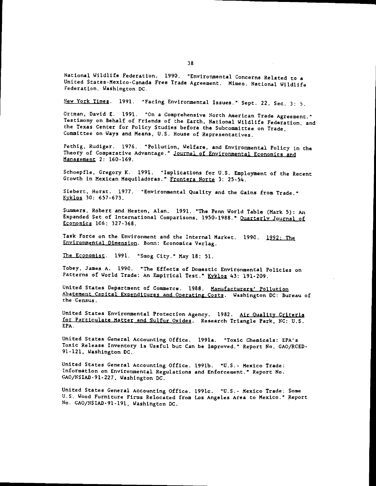National Wildlife Federation. 1990. "Environmenta]. Concerns Related to <sup>a</sup> United States-Mexico-Canada Free Trade Agreement. Mimeo. National Wildlife Federation, Washington DC.

New York Tines. 1991, "Facing Environmental Issues." Sept. 22. Sec. 3: 5,

Ortman, David E, 1991. "On a Comprehensive North American Trade Agreement." Testimony on Behalf of Friends of the Earth, National Wildlife Federation, and the Texas Center for Policy Studies before the Subcommittee on Trade, Committee on Ways and Means, U.S. House of Representatives.

Pethig, Rudiger. 1976. "Pollution, Welfare, and Environmental Policy in the Theory of Comparative Advantage." Journal of Environmental Economics and Management 2: 160-169.

Schoepfle, Gregory K. 1991. "Implications for U.S. Employment of the Recent Growth in Mexican Maquiladoras." Frontera Norte 3: 25-54.

Slebert, Horst. 1977. "Environmental Quality and the Gains from Trade." Kyklos 30: 657-673.

Summers, Robert and Heston, Alan. 1991. "The Penn World Table (Mark 5): An Expanded Set of International Comparisons, 1950-1988," Ouarterly Journal of Economics 106: 327-368.

Task Force on the Environment and the Internal Market. 1990. 1992: The Environmental Dimension. Bonn: Economica Verlag.

The Economist. 1991. "Smog City." May 18: 51.

Tobey, James A. 1990. "The Effects of Domestic Environmental Policies on Patterns of World Trade: An Empirical Test." Kykios 43: 191-209.

United States Department of Commerce. 1988. Manufacturers' Pollution Abatement Capital Expenditures and Operating Costs. Washington DC: Bureau of the Census.

United States Environmental Protection Agency. 1982. Air Quality Criteria for Particulate Matter and Sulfur Oxides. Research Triangle Park, NC: U.S. EPA.

United States General Accounting Office. 1991a. "Toxic Chemicals: EPA's Toxic Release Inventory is Useful but Can be Improved." Report No. GAO/RCED-91-121, Washington DC.

United States General Accounting Office. 1991b. "U.S. - Mexico Trade: Information on Environmental Regulations and Enforcement," Report No, GAO/NSIAD.91-227, Washington DC.

United States General Accounting Office. 199lc. "U.S. - Mexico Trade: Some U.S. Wood Furniture Firms Relocated from Los Angeles Area to Mexico," Report No. CAO/NSIAD-91.19l, Washington DC.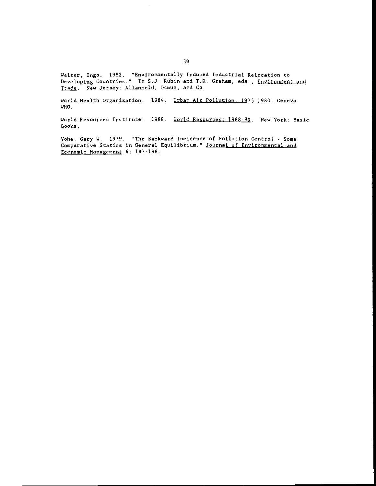Walter, Ingo. 1982. "Environmentally Induced Industrial Relocation to Developing Countries." In S.J. Rubin and T.R. Graham, eds., <u>Environment and</u> Trade. New Jersey: Allanheld, Osmun, and Co.

World Health Organization. 1984. Urban Air Pollution. 1973-1980. Geneva: WHO-

World Resources Institute. 1988. World Resources: 1988-89. New York: Basic Books.

Yohe, Gary W. 1979. "The Backward Incidence of Pollution Control - Some Comparative Statics in General Equilibrium." Journal of Environmental and Economic Management 6: 187-198.

 $\bar{z}$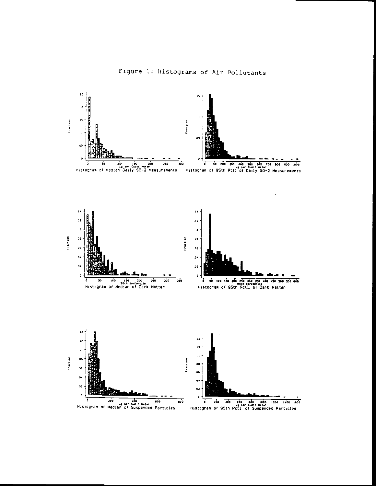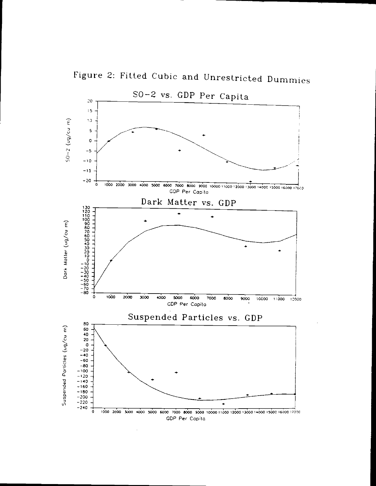

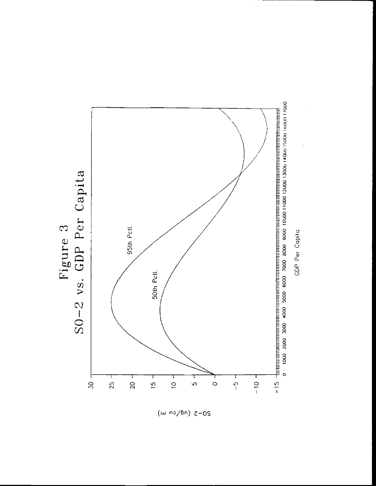

 $(m no/6n)$   $z - OS$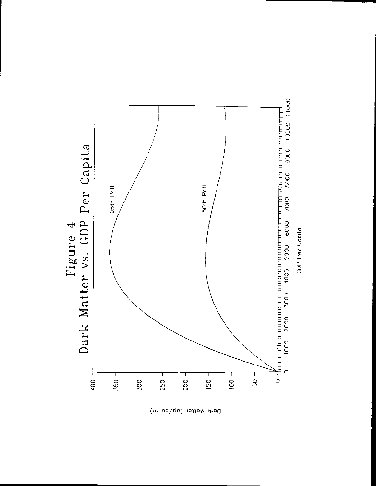

Daik Matter (ng/cn w)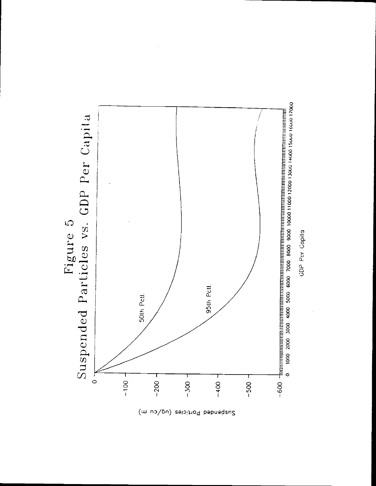

pebeuga baujara (nd\cn w)

GDP Per Capita GOP Per Capita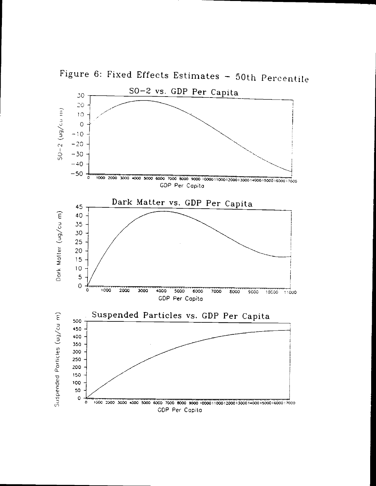

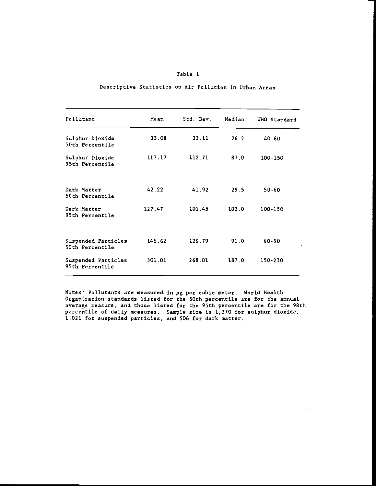#### Table I.

| Pollutant                              | Mean   | Std. Dev. | Median | WHO Standard |
|----------------------------------------|--------|-----------|--------|--------------|
| Sulphur Dioxide<br>50th Percentile     | 33.08  | 33.11     | 26.2   | $40 - 60$    |
| Sulphur Dioxide<br>95th Percentile     | 117.17 | 112.71    | 87.0   | 100-150      |
| Dark Matter<br>50th Percentile         | 42.22  | 41.92     | 29.5   | $50 - 60$    |
| Dark Matter<br>95th Percentile         | 127 47 | 101.45    | 102.0  | 100-150      |
| Suspended Particles<br>50th Percentile | 146.62 | 126.79    | 91.0   | 60-90        |
| Suspended Particles<br>95th Percentile | 301.01 | 268.01    | 187.0  | 150-230      |
|                                        |        |           |        |              |

Descriptive Statistics on Air Pollution in Urban Areas

Notes: Pollutants are measured in µg per cubic meter. World Health Organization standards listed for the 50th percentile are for the annual average measure, and those listed for the 95th percentile are for the 98th percentile of daily measures. Sample size is 1,370 for sulphur dioxide, 1.021 for suspended particles, and 506 for dark matter.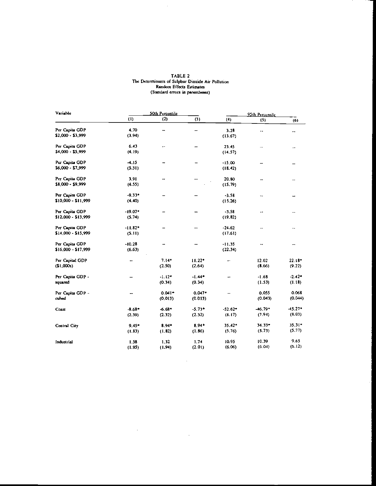| Variable            |           | <b>50th Percentile</b> | 95th Percentile |                          |                          |                       |
|---------------------|-----------|------------------------|-----------------|--------------------------|--------------------------|-----------------------|
|                     | (1)       | (2)                    | (3)             | (4)                      | (5)                      | (b)                   |
| Per Capita GDP      | 4.70      | ш.                     |                 | 3.28                     | ۰.                       | $\tilde{\phantom{a}}$ |
| $$2,000 - $3,999$   | (3.94)    |                        |                 | (13.67)                  |                          |                       |
| Per Capita GDP      | 6.43      |                        |                 | 23.45                    |                          | --                    |
| \$4,000 - \$5,999   | (4.19)    |                        |                 | (14.57)                  |                          |                       |
| Per Capita GDP      | $-4.15$   |                        |                 | $-15.00$                 | --                       | --                    |
| $$6,000 - $7,999$   | (5.31)    |                        |                 | (13.42)                  |                          |                       |
| Per Capita GDP      | 3.91      | ⊷                      | $-$             | 20.80                    | --                       |                       |
| \$8,000 - \$9,999   | (4.55)    |                        |                 | (15.79)                  |                          |                       |
| Per Capita GDP      | $-9.33+$  |                        |                 | $-3.58$                  | $\sim$ $\sim$            |                       |
| $$10,000 - $11,999$ | (4.40)    |                        |                 | (15.26)                  |                          |                       |
| Per Capita GDP      | $-19.07*$ |                        |                 | $-3.58$                  | $\overline{\phantom{a}}$ | $\overline{a}$        |
| \$12,000 - \$13,999 | (5.74)    |                        |                 | (19.82)                  |                          |                       |
| Per Capita GDP      | $-11.82*$ |                        |                 | $-24.62$                 | $\overline{\phantom{a}}$ | $\sim$                |
| $$14,000 - $15,999$ | (5.11)    |                        |                 | (17.61)                  |                          |                       |
| Per Capita GDP      | $-10.28$  |                        |                 | $-11.35$                 | $\sim$                   | $\sim$                |
| $$16,000 - $17,999$ | (6.63)    |                        |                 | (22.34)                  |                          |                       |
| Per Capital GDP     | ۰.        | $7.14*$                | $11.22*$        | $\overline{\phantom{a}}$ | 12.02                    | $22.18*$              |
| (\$1,000s)          |           | (2.50)                 | (2.64)          |                          | (8.66)                   | (9.22)                |
| Per Capita GDP -    |           | $-1.12$ <sup>*</sup>   | $-1.44*$        | ۰.                       | $-1.63$                  | $-2.42*$              |
| squared             |           | (0.34)                 | (0.34)          |                          | (1.53)                   | (1.18)                |
| Per Capita GDP -    |           | $0.041*$               | $0.047*$        |                          | 0.055                    | 0.068                 |
| cubed               |           | (0.013)                | (0.013)         |                          | (0.043)                  | (0.014)               |
| Coast               | $8.68*$   | $-6.68$ <sup>+</sup>   | $-5.73+$        | $-52.62*$                | $-46.79*$                | $-45.27$              |
|                     | (2.39)    | (2.32)                 | (2.32)          | (8.17)                   | (7.94)                   | (8.03)                |
| Central City        | 9.45      | $8.94*$                | $8.94*$         | 35.42*                   | $34.33*$                 | 35.31                 |
|                     | (L.83)    | (1.82)                 | (1.86)          | (5.76)                   | (5.73)                   | (5.77)                |
| industrial          | 1.58      | 1.32                   | 1.74            | 10.95                    | 10.39                    | 9.65                  |
|                     | (1.95)    | (1.94)                 | (2.01)          | (6.06)                   | (6.04)                   | (6.12)                |

 $\mathcal{L}^{\mathcal{L}}(\mathcal{L}^{\mathcal{L}})$  and  $\mathcal{L}^{\mathcal{L}}(\mathcal{L}^{\mathcal{L}})$  . The contribution

 $\label{eq:2.1} \frac{1}{\sqrt{2\pi}}\sum_{i=1}^n\frac{1}{\sqrt{2\pi}}\sum_{i=1}^n\frac{1}{\sqrt{2\pi}}\sum_{i=1}^n\frac{1}{\sqrt{2\pi}}\sum_{i=1}^n\frac{1}{\sqrt{2\pi}}\sum_{i=1}^n\frac{1}{\sqrt{2\pi}}\sum_{i=1}^n\frac{1}{\sqrt{2\pi}}\sum_{i=1}^n\frac{1}{\sqrt{2\pi}}\sum_{i=1}^n\frac{1}{\sqrt{2\pi}}\sum_{i=1}^n\frac{1}{\sqrt{2\pi}}\sum_{i=1}^n\$ 

# TABLE 2<br>The Determinants of Sulphur Dioxide Air Pollution<br>Random Effects Estimates<br>(Standard errors in parentheses)

 $\hat{\mathcal{A}}$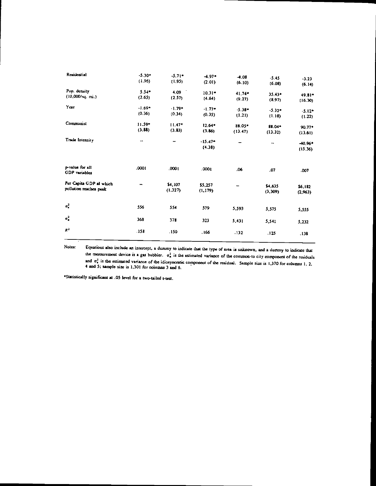| Resident al                                       | $-5.30*$<br>(1.96)  | $-5.71$<br>(1.95)        | $-1.97*$<br>(2.01)             | $-4.08$<br>(6.10)        | $-5.45$<br>(6.08)   | $-3.23$<br>(0.14)             |  |
|---------------------------------------------------|---------------------|--------------------------|--------------------------------|--------------------------|---------------------|-------------------------------|--|
| Pon. density<br>$(10,000/\text{sq}, \text{mi.})$  | $5.54*$<br>(2.65)   | 4.09<br>(2.57)           | $10.31$ <sup>*</sup><br>(4.64) | 41.74*<br>(9.27)         | $35.43*$<br>(8.97)  | 49.BI <sup>*</sup><br>(16.30) |  |
| Year                                              | $-1.59 -$<br>(0.36) | $-1.79*$<br>(0.34)       | $-1.77*$<br>(0.35)             | $5.38*$<br>(1.21)        | $-5.32$<br>(1.18)   | $-5.12*$<br>(1.22)            |  |
| Communist                                         | $11.59 -$<br>(3.88) | $11.47*$<br>(3.83)       | $12.64*$<br>(3.86)             | 88.05*<br>(13.47)        | $88.04*$<br>(13.32) | $90.77*$<br>(13.61)           |  |
| Trade Intensity                                   | ۰.                  | $\overline{\phantom{a}}$ | $-15.47+$<br>(4.38)            | $\overline{\phantom{a}}$ | $\sim$              | $-40.96*$<br>(15.36)          |  |
| p-value for all<br><b>GDP</b> variables           | .0001               | .0001                    | 10001                          | .06                      | .07                 | .007                          |  |
| Per Capita GDP al which<br>pollution reaches peak |                     | \$4,107<br>(1,327)       | \$5,257<br>(1, 179)            | <b></b>                  | \$4,635<br>(3, 309) | \$6,182<br>(2,963)            |  |
| $\sigma_{\rm g}^2$                                | 556                 | 554                      | 579                            | 5,593                    | 5,575               | 5,555                         |  |
| $\sigma^2$                                        | 368                 | 378                      | 323                            | 5,431                    | 5,541               | 5,232                         |  |
| R <sup>2</sup>                                    | .158                | .150                     | .166                           | .132                     | 125.                | .138                          |  |

Notes: Equations also include an intercept. a dummy to indicate that the type of area is unknown, and a dummy to indicate that the measurement device is a gas bubbler,  $\sigma_a^2$  is the estimated variance of the common-to city component of the residuals and  $\sigma_0^2$  is the estimated variance of the idiosyncratic component of the residual. Sample size is 1,370 for columns 1, 2. 4 and 5; sample size is 1,301 for columns 1, 2.

Slatistically significant at .05 level for. two-tailed t-test.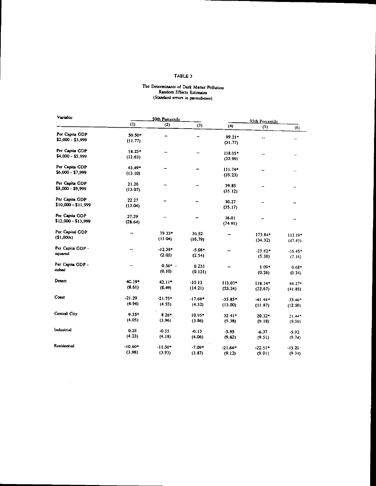### The Determinants of Dark Matter Pollution<br>Random Effects Estimates<br>(Standard errors in parentheses)

| Variable            |           | 50th Percentile | 95th Percentile |                       |            |                       |
|---------------------|-----------|-----------------|-----------------|-----------------------|------------|-----------------------|
|                     | (1)       | (2)             | (3)             | (4)                   | (5)        | (6)                   |
| Per Capita GDP      | 50.50*    |                 | -               |                       |            |                       |
| $$2,000 - $3,999$   | (11.77)   |                 |                 | 99.21*<br>(31.77)     | ۰.         | ۰.                    |
| Per Capita GDP      | 58.25*    | ۰.              |                 |                       |            |                       |
| \$4,000 - \$5,999   | (12.63)   |                 |                 | $118.05*$<br>(33.99)  | --         |                       |
| Per Capita GDP      | 43.49*    |                 |                 |                       |            |                       |
| \$6,000 - \$7,999   | (13.10)   |                 |                 | 111.74*<br>(35.23)    | ⊷          | 44                    |
| Per Capita GDP      | 21.26     | ÷               |                 | 39.85                 | --         |                       |
| \$8,000 - \$9,999   | (13.07)   |                 |                 | (35.12)               |            | -                     |
| Per Capita GDP      | 22.27     |                 |                 | 30.27                 | --         |                       |
| \$10,000 - \$11,999 | (13.04)   |                 |                 | (35.17)               |            |                       |
| Per Capita GDP      | 27.29     |                 |                 | 16.01                 |            |                       |
| \$12,000 - \$13,999 | (28.64)   |                 |                 | (74.95)               |            |                       |
| Per Capital GDP     |           | $79.33*$        | 30.52           |                       | 173.84*    | $113.19*$             |
| (\$1,000s)          |           | (13.04)         | (16.79)         |                       | (34.32)    | (47.45)               |
| Per Capita GDP -    |           | $-12.38 -$      | $-5.08*$        | --                    | $-25.62*$  | $-16.45*$             |
| squared             |           | (2.05)          | (2.54)          |                       | (5.38)     | (7.16)                |
| Per Capita GDP -    |           | $0.56 - 1$      | 0.233           |                       | $1.09*$    | $0.68 -$              |
| cubed               |           | (0.10)          | (0.121)         |                       | (0.26)     | (0.34)                |
| Desert              | $40.19*$  | 42.11*          | $-10.12$        | 113.03*               | 118.14*    | $44.27*$              |
|                     | (8.61)    | (8.49)          | (14.21)         | (23.24)               | (22.67)    | (41.85)               |
| Coast               | $-21, 29$ | $-21.75+$       | $-17.68*$       | $-35.85*$             | $-41.44*$  | $-33.46$ <sup>*</sup> |
|                     | (4.94)    | (4.55)          | (4.52)          | (13.00)               | (11.87)    | (12.50)               |
| Central City        | $9.55 -$  | $8.26*$         | 10.95*          | $32.41*$              | $20.32*$   | $21.44*$              |
|                     | (4.05)    | (3.96)          | (3.86)          | (9.38)                | (9.18)     | (9.50)                |
| Industrial          | 0.25      | $-0.55$         | $-0.13$         | $-5.95$               | $-6.37$    | $-5.92$               |
|                     | (4.23)    | (4.18)          | (4.06)          | (9.62)                | (9.51)     | (9.74)                |
| Residential         | $-10.60*$ | $-11.56*$       | $-7.09*$        | $-21.64$ <sup>*</sup> | $-22.51$ * | $-15.20$              |
|                     | (3.98)    | (3.93)          | (3.87)          | (9.12)                | (9.01)     | (9.34)                |
|                     |           | $\sim$          |                 |                       |            |                       |

 $\sim$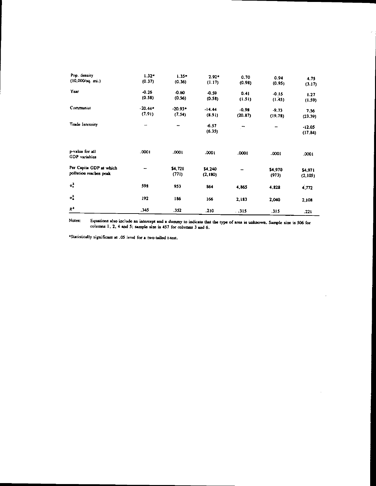| Pop. density<br>(10,000/sq. mi.)                  | $1.32 -$<br>(0.37) | $1.35*$<br>(0.36)        | $2.92*$             | 0.70    | 0.94             | 4.75                |
|---------------------------------------------------|--------------------|--------------------------|---------------------|---------|------------------|---------------------|
|                                                   |                    |                          | (1.17)              | (0.98)  | (0.95)           | (3.17)              |
| Year                                              | $-0.26$            | $-0.60$                  | $-0.59$             | 0.41    | $-0.15$          | 1.27                |
|                                                   | (0.58)             | (0.56)                   | (0.5B)              | (1.51)  | (1.45)           | (1.59)              |
| Communist                                         | $-20.44*$          | $-20.93*$                | $-14.44$            | $-0.98$ | $-9.73$          | 7.56                |
|                                                   | (7.91)             | (7.54)                   | (B.51)              | (20.87) | (19.78)          | (23.39)             |
| <b>Trade Intensity</b>                            | -                  | $\overline{\phantom{a}}$ | $-6.57$             | --      |                  | $-12.05$            |
|                                                   |                    |                          | (6.35)              |         |                  | (17.84)             |
| p-value for all<br><b>GDP</b> variables           | .0001              | .0001                    | .0001               | .0001   | 0001             | .0001               |
| Per Capita GDP at which<br>pollution reaches peak | --                 | 54.721<br>(771)          | \$4.240<br>(2, 180) |         | \$4,970<br>(973) | \$4,971<br>(2, 105) |
| $\sigma_{\bullet}^{2}$                            | 598                | 953                      | 864                 | 4,865   | 4,828            | 4,772               |
| $\sigma_{\bullet}^2$                              | 192                | 186                      | 166                 | 2,183   | 2,040            | 2,108               |
| R <sup>2</sup>                                    | .345               | .352                     | .210                | .315    | .315             | .221                |

 $\vec{r}$ 

Equations also include an intercept and a dummy to indicate that the type of area is unknown. Sample size is 506 for columns 1, 2, 4 and 5; sample size is 457 for columns 1 and 6. Notes:

\*Statistically significant at .05 level for a two-tailed t-test.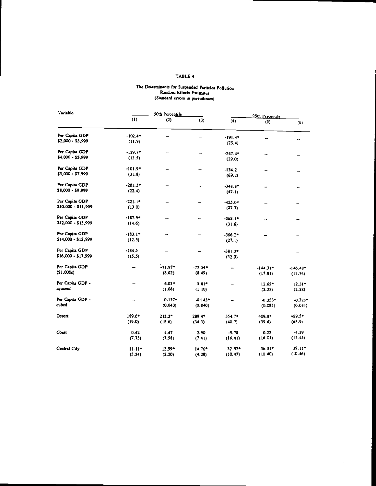## The Determinants for Suspended Particles Pollution<br>Random Effects Estimates<br>(Standard errors in parentheses)

| Vanable             |                       | 50th Percentile | 95th Percentile          |            |                       |                    |
|---------------------|-----------------------|-----------------|--------------------------|------------|-----------------------|--------------------|
|                     | (1)                   | (2)             | (3)                      | (4)        | (5)                   | (6)                |
| Per Capita GDP      | $-102.4*$             | -               | ٠                        | $-191.4$   |                       |                    |
| $$2,000 - $3,999$   | (11.9)                |                 |                          | (25.4)     |                       |                    |
| Per Capita GDP      | $-129.7*$             | --              | $\overline{\phantom{a}}$ | $-247.4$   | ۰.                    |                    |
| \$4,000 - \$5,999   | (13.5)                |                 |                          | (29.0)     |                       |                    |
| Per Capita GDP      | $-101.9*$             | ÷               |                          | -134.2     |                       |                    |
| $$5,000 - $7,999$   | (31.8)                |                 |                          | (69.2)     |                       |                    |
| Per Capita GDP      | $-201.2*$             |                 |                          | $-348.8*$  |                       |                    |
| $$8,000 - $9,999$   | (22.4)                |                 |                          | (47.1)     |                       |                    |
| Per Capita GDP      | $-221.1$ <sup>*</sup> |                 |                          | $-125.0 -$ |                       |                    |
| $$10,000 - $11,999$ | (13.0)                |                 |                          | (27.7)     |                       |                    |
| Per Capita GDP      | $-187.9+$             |                 |                          | $-368.1*$  |                       |                    |
| $$12,000 - $13,999$ | (14.6)                |                 |                          | (31.6)     |                       |                    |
| Per Capita GDP      | $-183.1$              |                 |                          | $-366.2*$  |                       |                    |
| \$14,000 - \$15,999 | (12.5)                |                 |                          | (27.1)     |                       |                    |
| Per Capita GDP      | $-184.5$              |                 |                          | $-381.2*$  |                       |                    |
| $$16,000 - $17,999$ | (15.5)                |                 |                          | (32.9)     |                       |                    |
| Per Capita GDP      |                       | $-71.97+$       | $-72.54+$                |            | $-144.31*$            | $-146.48*$         |
| (51,000s)           |                       | (8.02)          | (8.49)                   |            | (17.81)               | (17.74)            |
| Per Capita GDP -    |                       | $6.03*$         | $5.81*$                  | --         | $12.65^{\circ}$       | $12.31 -$          |
| squared             |                       | (1.03)          | (1.10)                   |            | (2.28)                | (2.28)             |
| Per Capita GDP -    |                       | $-0.157-$       | $-0.143+$                |            | $-0.353$ <sup>*</sup> | $-0.328$           |
| cubed               |                       | (0.043)         | (0.040)                  |            | (0.085)               | (0.084)            |
| Desert              | $189.6*$              | $213.3 -$       | $289.4*$                 | 354.7*     | $409.8^{\circ}$       | 489.5*             |
|                     | (19.0)                | (18.6)          | (34.3)                   | (40.7)     | (39.6)                | (68.9)             |
| Coust               | 0.42                  | 4.47            | 2.90                     | $-9.78$    | 0.22                  | $-1.39$            |
|                     | (7.73)                | (7.58)          | (7.41)                   | (16.41)    | (16.01)               | (15.43)            |
| Central City        | $11.11*$              | 12.99*          | $14.76*$                 | $32.52*$   | $36.31*$              | 39.II <sup>*</sup> |
|                     | (5.24)                | (5.20)          | (4.28)                   | (10.47)    | (10.40)               | (10.46)            |

 $\bar{z}$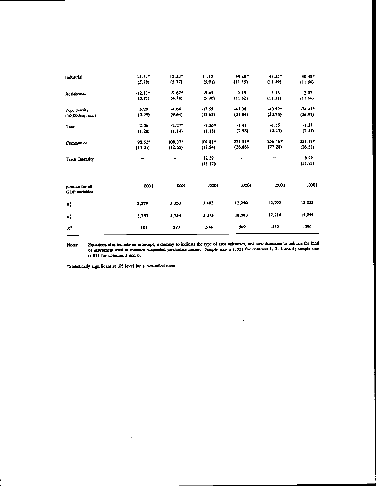| Industrial           | $13.73 -$             | $15.23*$                 | 11.15                 | 44.28                 | 47.55*     | $40.48*$  |
|----------------------|-----------------------|--------------------------|-----------------------|-----------------------|------------|-----------|
|                      | (5.79)                | (5.77)                   | (5.91)                | (11.55)               | (11.49)    | (11.66)   |
| Residential          | $-12.17$ <sup>*</sup> | $9.67*$                  | $-9.45$               | $-1.19$               | 3.83       | 2.02      |
|                      | (5.83)                | (4.78)                   | (5,90)                | (11.62)               | (11.51)    | (11.66)   |
| Pop. density         | 5.20                  | $-4.64$                  | $-17.55$              | $-41.38$              | $-43.97$   | $.74.43*$ |
| (10,000/sq, mi.)     | (9.99)                | (9.64)                   | (12.63)               | (21.84)               | (20.95)    | (26.92)   |
| Year                 | $-2.06$               | $-2.27$                  | $2.26*$               | $-1.41$               | $-1.65$    | $-1.27$   |
|                      | (1.20)                | (1.14)                   | (1.15)                | (2.58)                | $(2.43)$ . | (2, 41)   |
| Communist            | 90.52                 | $108.37*$                | $107.81$ <sup>*</sup> | $221.51$ <sup>*</sup> | 256.46*    | $251.12*$ |
|                      | (13.21)               | (12.65)                  | (12.54)               | (28.68)               | (27.28)    | (26.52)   |
| Trade Intensity      | -                     | $\overline{\phantom{a}}$ | 12.39                 |                       | ٠          | 6.49      |
|                      |                       |                          | (15.17)               |                       |            | (31.23)   |
| p-value for all      | 0001                  | .0001                    | .0001                 | .0001                 | .0001      | .0001     |
| <b>GDP</b> variables |                       |                          |                       |                       |            |           |
| $\sigma^2_{\rm c}$   | 3,379                 | 3,350                    | 3,482                 | 12,950                | 12,793     | 13,085    |
|                      |                       |                          |                       |                       |            |           |
| $\sigma^2_{\rm e}$   | 3,353                 | 3,754                    | 3,073                 | 18,043                | 17,218     | 14,894    |
| $R^2$                | .581                  | .577                     | .574                  | -569                  | .582       | .590      |
|                      |                       |                          |                       |                       |            |           |

Equations also include an intercept, a dummy to indicate the type of area unknown, and two dummies to indicate the kind of instrument used to measure suspended particulate matter. Sample size is  $1,021$  for columns  $1, 2,$ Notes:

 $\mathcal{L}_{\text{eff}}$ 

 $\sim 10^{-1}$ 

\*Statistically significant at .05 level for a two-tailed t-test.

 $\mathcal{L}_{\mathcal{A}}$ 

 $\mathcal{A}^{\mathcal{A}}$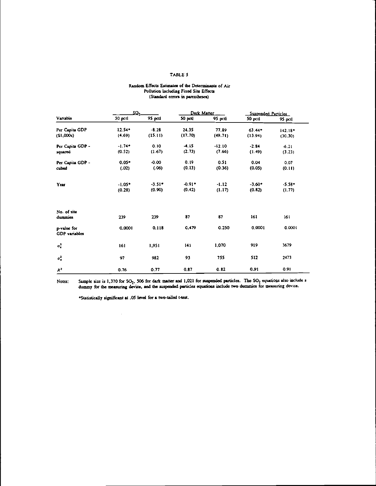|                                     |                    | SO <sub>2</sub>    |                                | Dark Matter        | Suspended Particles |                     |
|-------------------------------------|--------------------|--------------------|--------------------------------|--------------------|---------------------|---------------------|
| Variable                            | 50 pctl            | 95 pctl            | 50 pctl                        | 95 pctl            | $50$ pct            | 95 pctl             |
| Per Capita GDP<br>(51,000s)         | $12.54*$<br>(4.69) | $-8.28$<br>(15.11) | 24.35<br>(17.70)               | 77.89<br>(49.71)   | 63.44*<br>(13.94)   | 142.18*<br>(30, 30) |
| Per Capita GDP -<br>squared         | $-1.74*$<br>(0.52) | 0.10<br>(1.67)     | $-1.15$<br>(2.73)              | $-12.10$<br>(7.66) | $-2.84$<br>(1.49)   | $-6.21$<br>(3.23)   |
| Per Capita GDP -<br>cubed           | $0.05*$<br>(.02)   | $-0.00$<br>(.06)   | 0.19<br>(0.13)                 | 0.51<br>(0.36)     | 0.04<br>(0.05)      | 0.07<br>(0.11)      |
| Year                                | $-1.05*$<br>(0.28) | $-3.51$<br>(0.90)  | $-0.91$ <sup>*</sup><br>(0.42) | $-1.12$<br>(1.17)  | $-3.60*$<br>(0.82)  | $-5.58$<br>(1.77)   |
| No. of site<br>dummies              | 239                | 239                | 87                             | 87                 | 161                 | 161                 |
| p-value for<br><b>GDP</b> variables | 0.0001             | 0.118              | 0.479                          | 0.250              | 0.0001              | 0.0001              |
| $\sigma_*^2$                        | 161                | 1,951              | 141                            | 1,070              | 919                 | 3679                |
| $\sigma_{\bullet}$                  | 97                 | 982                | 93                             | 755                | 512                 | 2473                |
| $R^2$                               | 0.76               | 0.77               | 0.87                           | 0.82               | 0.91                | 0.91                |

### Random Effects Estimates of the Determinants of Air<br>Pollution Including Fixed Site Effects<br>(Standard errors in parentheses)

Sample size is  $1,370$  for  $SO_2$ , 506 for dark matter and  $1,021$  for suspended particles. The  $SO_2$  equations also include a dummy for the measuring device, and the suspended particles equations include two dummies for m Notes:

\*Statistically significant at .05 level for a two-tailed t-test.

 $\bar{z}$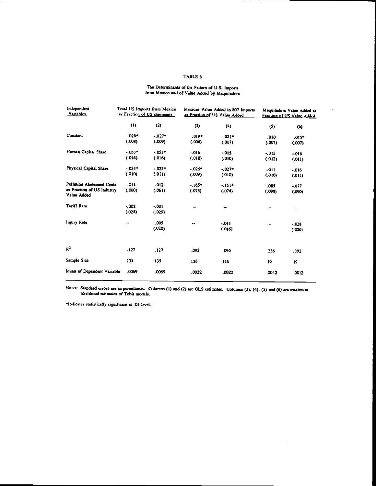### The Determinants of the Pattern of U.S. Imports<br>from Mexico and of Value Added by Maquiladora

 $\ddot{\phantom{a}}$ 

 $\bar{z}$ 

| Independent<br>Variables                                                      | Total US Imports from Mexico<br>as Fraction of US shipments |                   |                               | Mexican Value Added in 807 Imports<br>as Fraction of US Value Added | Maquiladora Value Added as<br>Fraction of US Value Added |                   |  |
|-------------------------------------------------------------------------------|-------------------------------------------------------------|-------------------|-------------------------------|---------------------------------------------------------------------|----------------------------------------------------------|-------------------|--|
|                                                                               | (1)                                                         | (2)               | (3)                           | (4)                                                                 | (5)                                                      | (6)               |  |
| Constant                                                                      | $.02B*$<br>(.008)                                           | $-027*$<br>(.009) | $.019*$<br>(.006)             | $.021*$<br>(0.007)                                                  | .010.<br>(.007)                                          | $.015*$<br>(.007) |  |
| Human Capital Share                                                           | $-053*$<br>(.016)                                           | $-053*$<br>(.016) | $-016$<br>(.010)              | $-015$<br>(.010)                                                    | $-015$<br>(.012)                                         | $-016$<br>(.011)  |  |
| Physical Capital Share                                                        | $-024*$<br>(.010)                                           | $-023*$<br>(.011) | $-026$ <sup>*</sup><br>(.009) | $-0.027$<br>(010)                                                   | $-011$<br>(010)                                          | $-016$<br>(.011)  |  |
| <b>Pollution Abatement Costs</b><br>as Fraction of US Industry<br>Value Added | .014<br>(.060)                                              | .012<br>(.061)    | $-165$<br>(.073)              | $-151+$<br>(.074)                                                   | $-035$<br>(.098)                                         | $-077$<br>(.090)  |  |
| <b>Tanff Rate</b>                                                             | $-002$<br>(.028)                                            | $-001$<br>(.029)  | ╌                             |                                                                     |                                                          | -                 |  |
| <b>Injury Rate</b>                                                            | н.                                                          | .005<br>(.020)    | ۰.                            | $-011$<br>(.016)                                                    |                                                          | $-0.28$<br>(.020) |  |
| $R^2$                                                                         | .127                                                        | .127              | .095                          | .095                                                                | .236                                                     | .392              |  |
| Sample Size                                                                   | 135                                                         | 135               | 136                           | 136                                                                 | 19                                                       | 19                |  |
| Mean of Dependent Variable                                                    | .0069                                                       | .0069             | .0022                         | .0022                                                               | .0012                                                    | .0012             |  |

Notes: Standard errors are in parenthesis. Columns (1) and (2) are OLS estimates. Columns (3), (4), (5) and (6) are maximum likelihood estimates of Tobit models.

\*Indicates statistically significant at .05 level.

 $\hat{\mathcal{L}}$